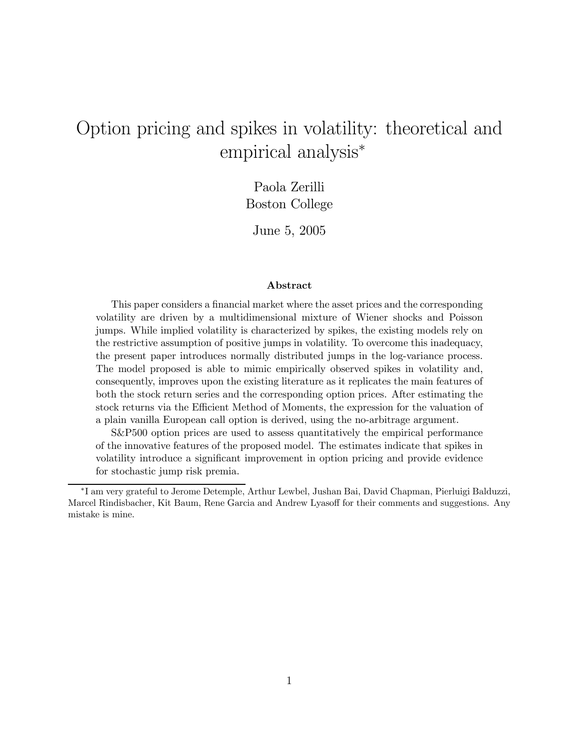# Option pricing and spikes in volatility: theoretical and empirical analysis<sup>∗</sup>

Paola Zerilli Boston College

June 5, 2005

#### Abstract

This paper considers a financial market where the asset prices and the corresponding volatility are driven by a multidimensional mixture of Wiener shocks and Poisson jumps. While implied volatility is characterized by spikes, the existing models rely on the restrictive assumption of positive jumps in volatility. To overcome this inadequacy, the present paper introduces normally distributed jumps in the log-variance process. The model proposed is able to mimic empirically observed spikes in volatility and, consequently, improves upon the existing literature as it replicates the main features of both the stock return series and the corresponding option prices. After estimating the stock returns via the Efficient Method of Moments, the expression for the valuation of a plain vanilla European call option is derived, using the no-arbitrage argument.

S&P500 option prices are used to assess quantitatively the empirical performance of the innovative features of the proposed model. The estimates indicate that spikes in volatility introduce a significant improvement in option pricing and provide evidence for stochastic jump risk premia.

<sup>∗</sup>I am very grateful to Jerome Detemple, Arthur Lewbel, Jushan Bai, David Chapman, Pierluigi Balduzzi, Marcel Rindisbacher, Kit Baum, Rene Garcia and Andrew Lyasoff for their comments and suggestions. Any mistake is mine.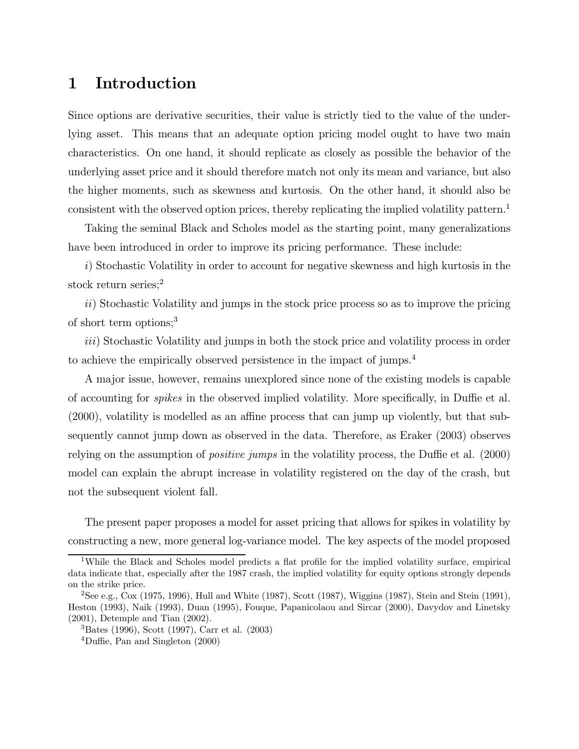## 1 Introduction

Since options are derivative securities, their value is strictly tied to the value of the underlying asset. This means that an adequate option pricing model ought to have two main characteristics. On one hand, it should replicate as closely as possible the behavior of the underlying asset price and it should therefore match not only its mean and variance, but also the higher moments, such as skewness and kurtosis. On the other hand, it should also be consistent with the observed option prices, thereby replicating the implied volatility pattern.<sup>1</sup>

Taking the seminal Black and Scholes model as the starting point, many generalizations have been introduced in order to improve its pricing performance. These include:

i) Stochastic Volatility in order to account for negative skewness and high kurtosis in the stock return series;<sup>2</sup>

ii) Stochastic Volatility and jumps in the stock price process so as to improve the pricing of short term options;<sup>3</sup>

iii) Stochastic Volatility and jumps in both the stock price and volatility process in order to achieve the empirically observed persistence in the impact of jumps.<sup>4</sup>

A major issue, however, remains unexplored since none of the existing models is capable of accounting for spikes in the observed implied volatility. More specifically, in Duffie et al. (2000), volatility is modelled as an affine process that can jump up violently, but that subsequently cannot jump down as observed in the data. Therefore, as Eraker (2003) observes relying on the assumption of positive jumps in the volatility process, the Duffie et al. (2000) model can explain the abrupt increase in volatility registered on the day of the crash, but not the subsequent violent fall.

The present paper proposes a model for asset pricing that allows for spikes in volatility by constructing a new, more general log-variance model. The key aspects of the model proposed

<sup>1</sup>While the Black and Scholes model predicts a flat profile for the implied volatility surface, empirical data indicate that, especially after the 1987 crash, the implied volatility for equity options strongly depends on the strike price.

<sup>&</sup>lt;sup>2</sup>See e.g., Cox (1975, 1996), Hull and White (1987), Scott (1987), Wiggins (1987), Stein and Stein (1991), Heston (1993), Naik (1993), Duan (1995), Fouque, Papanicolaou and Sircar (2000), Davydov and Linetsky (2001), Detemple and Tian (2002).

<sup>3</sup>Bates (1996), Scott (1997), Carr et al. (2003)

<sup>4</sup>Duffie, Pan and Singleton (2000)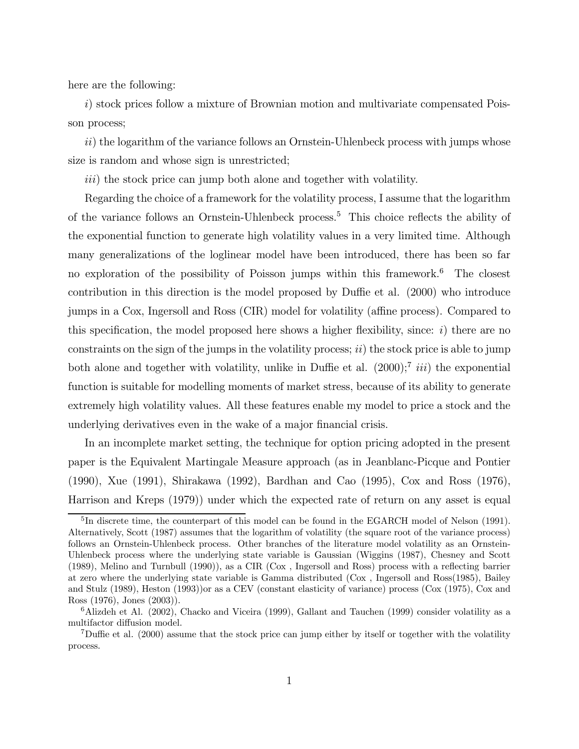here are the following:

i) stock prices follow a mixture of Brownian motion and multivariate compensated Poisson process;

 $ii)$  the logarithm of the variance follows an Ornstein-Uhlenbeck process with jumps whose size is random and whose sign is unrestricted;

iii) the stock price can jump both alone and together with volatility.

Regarding the choice of a framework for the volatility process, I assume that the logarithm of the variance follows an Ornstein-Uhlenbeck process.<sup>5</sup> This choice reflects the ability of the exponential function to generate high volatility values in a very limited time. Although many generalizations of the loglinear model have been introduced, there has been so far no exploration of the possibility of Poisson jumps within this framework.<sup>6</sup> The closest contribution in this direction is the model proposed by Duffie et al. (2000) who introduce jumps in a Cox, Ingersoll and Ross (CIR) model for volatility (affine process). Compared to this specification, the model proposed here shows a higher flexibility, since: i) there are no constraints on the sign of the jumps in the volatility process;  $ii)$  the stock price is able to jump both alone and together with volatility, unlike in Duffie et al.  $(2000)$ ;<sup>7</sup> iii) the exponential function is suitable for modelling moments of market stress, because of its ability to generate extremely high volatility values. All these features enable my model to price a stock and the underlying derivatives even in the wake of a major financial crisis.

In an incomplete market setting, the technique for option pricing adopted in the present paper is the Equivalent Martingale Measure approach (as in Jeanblanc-Picque and Pontier (1990), Xue (1991), Shirakawa (1992), Bardhan and Cao (1995), Cox and Ross (1976), Harrison and Kreps (1979)) under which the expected rate of return on any asset is equal

<sup>&</sup>lt;sup>5</sup>In discrete time, the counterpart of this model can be found in the EGARCH model of Nelson (1991). Alternatively, Scott (1987) assumes that the logarithm of volatility (the square root of the variance process) follows an Ornstein-Uhlenbeck process. Other branches of the literature model volatility as an Ornstein-Uhlenbeck process where the underlying state variable is Gaussian (Wiggins (1987), Chesney and Scott (1989), Melino and Turnbull (1990)), as a CIR (Cox , Ingersoll and Ross) process with a reflecting barrier at zero where the underlying state variable is Gamma distributed (Cox , Ingersoll and Ross(1985), Bailey and Stulz (1989), Heston (1993))or as a CEV (constant elasticity of variance) process (Cox (1975), Cox and Ross (1976), Jones (2003)).

<sup>6</sup>Alizdeh et Al. (2002), Chacko and Viceira (1999), Gallant and Tauchen (1999) consider volatility as a multifactor diffusion model.

<sup>7</sup>Duffie et al. (2000) assume that the stock price can jump either by itself or together with the volatility process.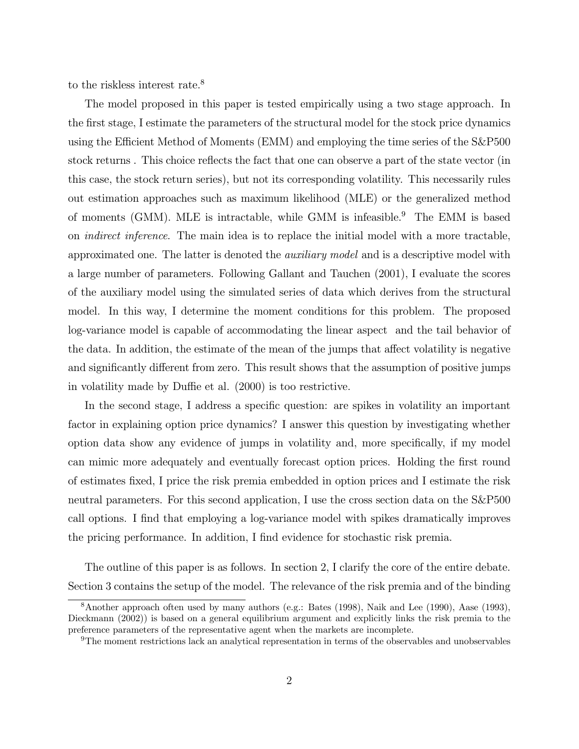to the riskless interest rate.<sup>8</sup>

The model proposed in this paper is tested empirically using a two stage approach. In the first stage, I estimate the parameters of the structural model for the stock price dynamics using the Efficient Method of Moments (EMM) and employing the time series of the S&P500 stock returns . This choice reflects the fact that one can observe a part of the state vector (in this case, the stock return series), but not its corresponding volatility. This necessarily rules out estimation approaches such as maximum likelihood (MLE) or the generalized method of moments (GMM). MLE is intractable, while GMM is infeasible.<sup>9</sup> The EMM is based on indirect inference. The main idea is to replace the initial model with a more tractable, approximated one. The latter is denoted the auxiliary model and is a descriptive model with a large number of parameters. Following Gallant and Tauchen (2001), I evaluate the scores of the auxiliary model using the simulated series of data which derives from the structural model. In this way, I determine the moment conditions for this problem. The proposed log-variance model is capable of accommodating the linear aspect and the tail behavior of the data. In addition, the estimate of the mean of the jumps that affect volatility is negative and significantly different from zero. This result shows that the assumption of positive jumps in volatility made by Duffie et al. (2000) is too restrictive.

In the second stage, I address a specific question: are spikes in volatility an important factor in explaining option price dynamics? I answer this question by investigating whether option data show any evidence of jumps in volatility and, more specifically, if my model can mimic more adequately and eventually forecast option prices. Holding the first round of estimates fixed, I price the risk premia embedded in option prices and I estimate the risk neutral parameters. For this second application, I use the cross section data on the S&P500 call options. I find that employing a log-variance model with spikes dramatically improves the pricing performance. In addition, I find evidence for stochastic risk premia.

The outline of this paper is as follows. In section 2, I clarify the core of the entire debate. Section 3 contains the setup of the model. The relevance of the risk premia and of the binding

<sup>8</sup>Another approach often used by many authors (e.g.: Bates (1998), Naik and Lee (1990), Aase (1993), Dieckmann (2002)) is based on a general equilibrium argument and explicitly links the risk premia to the preference parameters of the representative agent when the markets are incomplete.

<sup>9</sup>The moment restrictions lack an analytical representation in terms of the observables and unobservables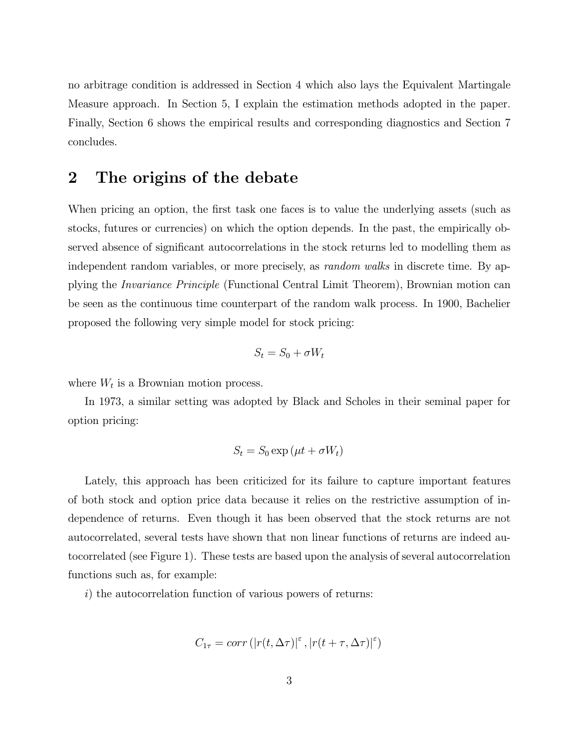no arbitrage condition is addressed in Section 4 which also lays the Equivalent Martingale Measure approach. In Section 5, I explain the estimation methods adopted in the paper. Finally, Section 6 shows the empirical results and corresponding diagnostics and Section 7 concludes.

## 2 The origins of the debate

When pricing an option, the first task one faces is to value the underlying assets (such as stocks, futures or currencies) on which the option depends. In the past, the empirically observed absence of significant autocorrelations in the stock returns led to modelling them as independent random variables, or more precisely, as *random walks* in discrete time. By applying the Invariance Principle (Functional Central Limit Theorem), Brownian motion can be seen as the continuous time counterpart of the random walk process. In 1900, Bachelier proposed the following very simple model for stock pricing:

$$
S_t = S_0 + \sigma W_t
$$

where  $W_t$  is a Brownian motion process.

In 1973, a similar setting was adopted by Black and Scholes in their seminal paper for option pricing:

$$
S_t = S_0 \exp\left(\mu t + \sigma W_t\right)
$$

Lately, this approach has been criticized for its failure to capture important features of both stock and option price data because it relies on the restrictive assumption of independence of returns. Even though it has been observed that the stock returns are not autocorrelated, several tests have shown that non linear functions of returns are indeed autocorrelated (see Figure 1). These tests are based upon the analysis of several autocorrelation functions such as, for example:

i) the autocorrelation function of various powers of returns:

$$
C_{1\tau} = corr\left( |r(t, \Delta \tau)|^{\varepsilon}, |r(t + \tau, \Delta \tau)|^{\varepsilon} \right)
$$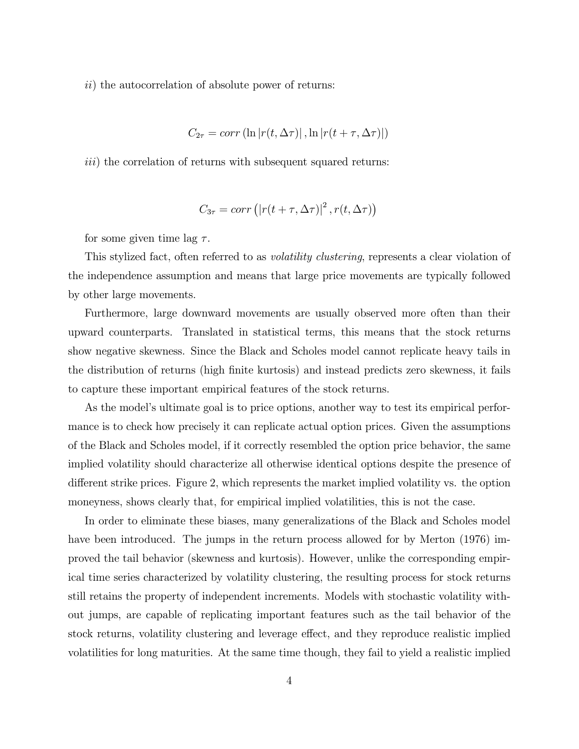$ii)$  the autocorrelation of absolute power of returns:

$$
C_{2\tau} = corr\left(\ln|r(t, \Delta \tau)|, \ln|r(t + \tau, \Delta \tau)|\right)
$$

 $iii)$  the correlation of returns with subsequent squared returns:

$$
C_{3\tau} = corr\left( |r(t + \tau, \Delta \tau)|^2, r(t, \Delta \tau) \right)
$$

for some given time lag  $\tau$ .

This stylized fact, often referred to as *volatility clustering*, represents a clear violation of the independence assumption and means that large price movements are typically followed by other large movements.

Furthermore, large downward movements are usually observed more often than their upward counterparts. Translated in statistical terms, this means that the stock returns show negative skewness. Since the Black and Scholes model cannot replicate heavy tails in the distribution of returns (high finite kurtosis) and instead predicts zero skewness, it fails to capture these important empirical features of the stock returns.

As the model's ultimate goal is to price options, another way to test its empirical performance is to check how precisely it can replicate actual option prices. Given the assumptions of the Black and Scholes model, if it correctly resembled the option price behavior, the same implied volatility should characterize all otherwise identical options despite the presence of different strike prices. Figure 2, which represents the market implied volatility vs. the option moneyness, shows clearly that, for empirical implied volatilities, this is not the case.

In order to eliminate these biases, many generalizations of the Black and Scholes model have been introduced. The jumps in the return process allowed for by Merton  $(1976)$  improved the tail behavior (skewness and kurtosis). However, unlike the corresponding empirical time series characterized by volatility clustering, the resulting process for stock returns still retains the property of independent increments. Models with stochastic volatility without jumps, are capable of replicating important features such as the tail behavior of the stock returns, volatility clustering and leverage effect, and they reproduce realistic implied volatilities for long maturities. At the same time though, they fail to yield a realistic implied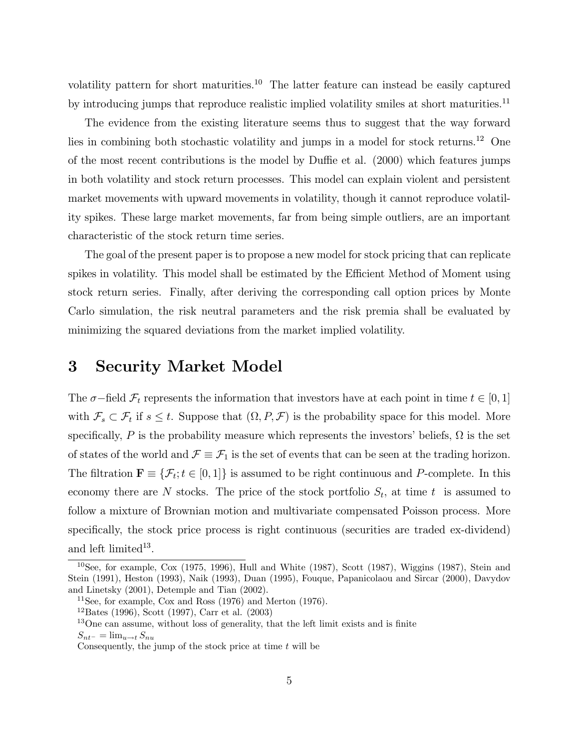volatility pattern for short maturities.<sup>10</sup> The latter feature can instead be easily captured by introducing jumps that reproduce realistic implied volatility smiles at short maturities.<sup>11</sup>

The evidence from the existing literature seems thus to suggest that the way forward lies in combining both stochastic volatility and jumps in a model for stock returns.<sup>12</sup> One of the most recent contributions is the model by Duffie et al. (2000) which features jumps in both volatility and stock return processes. This model can explain violent and persistent market movements with upward movements in volatility, though it cannot reproduce volatility spikes. These large market movements, far from being simple outliers, are an important characteristic of the stock return time series.

The goal of the present paper is to propose a new model for stock pricing that can replicate spikes in volatility. This model shall be estimated by the Efficient Method of Moment using stock return series. Finally, after deriving the corresponding call option prices by Monte Carlo simulation, the risk neutral parameters and the risk premia shall be evaluated by minimizing the squared deviations from the market implied volatility.

### 3 Security Market Model

The  $\sigma$ –field  $\mathcal{F}_t$  represents the information that investors have at each point in time  $t \in [0,1]$ with  $\mathcal{F}_s \subset \mathcal{F}_t$  if  $s \leq t$ . Suppose that  $(\Omega, P, \mathcal{F})$  is the probability space for this model. More specifically, P is the probability measure which represents the investors' beliefs,  $\Omega$  is the set of states of the world and  $\mathcal{F} \equiv \mathcal{F}_1$  is the set of events that can be seen at the trading horizon. The filtration  $\mathbf{F} \equiv \{\mathcal{F}_t; t \in [0,1]\}$  is assumed to be right continuous and P-complete. In this economy there are N stocks. The price of the stock portfolio  $S_t$ , at time t is assumed to follow a mixture of Brownian motion and multivariate compensated Poisson process. More specifically, the stock price process is right continuous (securities are traded ex-dividend) and left limited $13$ .

<sup>10</sup>See, for example, Cox (1975, 1996), Hull and White (1987), Scott (1987), Wiggins (1987), Stein and Stein (1991), Heston (1993), Naik (1993), Duan (1995), Fouque, Papanicolaou and Sircar (2000), Davydov and Linetsky (2001), Detemple and Tian (2002).

<sup>&</sup>lt;sup>11</sup>See, for example, Cox and Ross  $(1976)$  and Merton  $(1976)$ .

 $12$ Bates (1996), Scott (1997), Carr et al. (2003)

<sup>&</sup>lt;sup>13</sup>One can assume, without loss of generality, that the left limit exists and is finite  $S_{nt-} = \lim_{u \to t} S_{nu}$ 

Consequently, the jump of the stock price at time  $t$  will be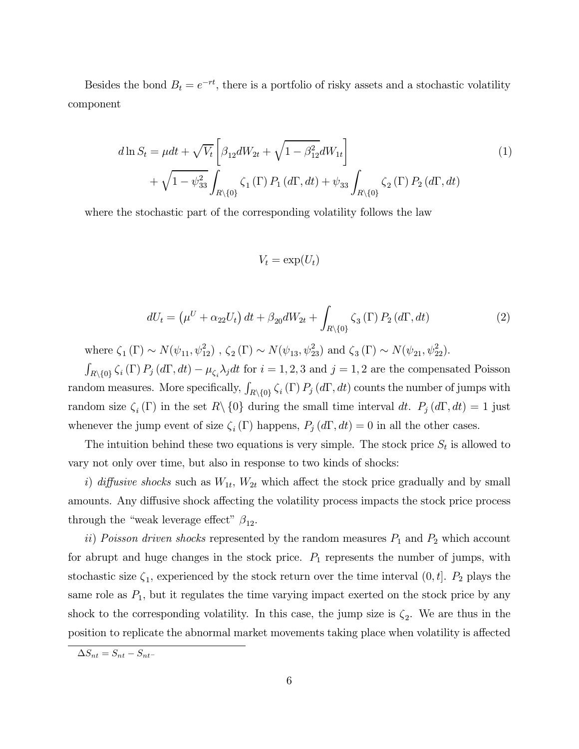Besides the bond  $B_t = e^{-rt}$ , there is a portfolio of risky assets and a stochastic volatility component

$$
d\ln S_t = \mu dt + \sqrt{V_t} \left[ \beta_{12} dW_{2t} + \sqrt{1 - \beta_{12}^2} dW_{1t} \right] + \sqrt{1 - \psi_{33}^2} \int_{R \setminus \{0\}} \zeta_1(\Gamma) P_1(d\Gamma, dt) + \psi_{33} \int_{R \setminus \{0\}} \zeta_2(\Gamma) P_2(d\Gamma, dt)
$$
\n(1)

where the stochastic part of the corresponding volatility follows the law

$$
V_t = \exp(U_t)
$$

$$
dU_t = \left(\mu^U + \alpha_{22} U_t\right) dt + \beta_{20} dW_{2t} + \int_{R \setminus \{0\}} \zeta_3(\Gamma) P_2(d\Gamma, dt) \tag{2}
$$

where  $\zeta_1(\Gamma) \sim N(\psi_{11}, \psi_{12}^2)$ ,  $\zeta_2(\Gamma) \sim N(\psi_{13}, \psi_{23}^2)$  and  $\zeta_3(\Gamma) \sim N(\psi_{21}, \psi_{22}^2)$ .

 $\int_{R\setminus\{0\}} \zeta_i(\Gamma) P_j(d\Gamma, dt) - \mu_{\zeta_i} \lambda_j dt$  for  $i = 1, 2, 3$  and  $j = 1, 2$  are the compensated Poisson random measures. More specifically,  $\int_{R\setminus\{0\}} \zeta_i(\Gamma)\,P_j\,(d\Gamma,dt)$  counts the number of jumps with random size  $\zeta_i(\Gamma)$  in the set  $R\setminus\{0\}$  during the small time interval dt.  $P_j(d\Gamma, dt) = 1$  just whenever the jump event of size  $\zeta_i(\Gamma)$  happens,  $P_j(d\Gamma, dt) = 0$  in all the other cases.

The intuition behind these two equations is very simple. The stock price  $S_t$  is allowed to vary not only over time, but also in response to two kinds of shocks:

i) diffusive shocks such as  $W_{1t}$ ,  $W_{2t}$  which affect the stock price gradually and by small amounts. Any diffusive shock affecting the volatility process impacts the stock price process through the "weak leverage effect"  $\beta_{12}$ .

ii) Poisson driven shocks represented by the random measures  $P_1$  and  $P_2$  which account for abrupt and huge changes in the stock price.  $P_1$  represents the number of jumps, with stochastic size  $\zeta_1$ , experienced by the stock return over the time interval  $(0, t]$ .  $P_2$  plays the same role as  $P_1$ , but it regulates the time varying impact exerted on the stock price by any shock to the corresponding volatility. In this case, the jump size is  $\zeta_2$ . We are thus in the position to replicate the abnormal market movements taking place when volatility is affected

 $\Delta S_{nt} = S_{nt} - S_{nt}$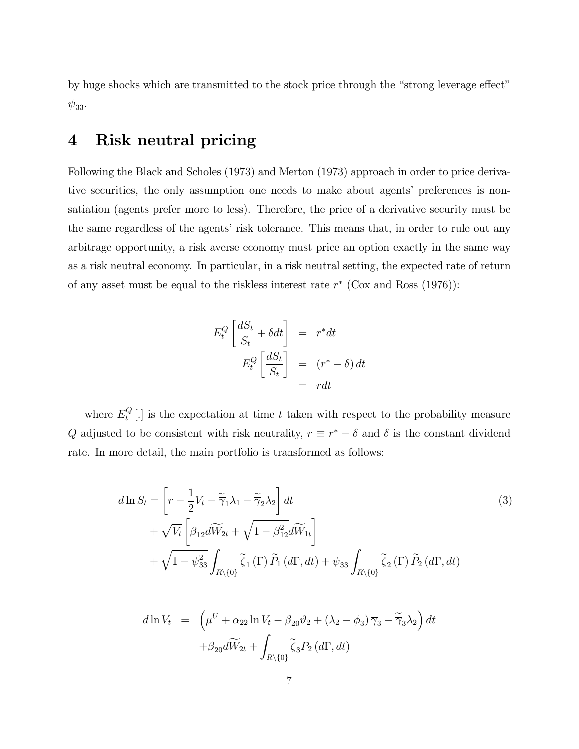by huge shocks which are transmitted to the stock price through the "strong leverage effect"  $\psi_{33}$ .

## 4 Risk neutral pricing

Following the Black and Scholes (1973) and Merton (1973) approach in order to price derivative securities, the only assumption one needs to make about agents' preferences is nonsatiation (agents prefer more to less). Therefore, the price of a derivative security must be the same regardless of the agents' risk tolerance. This means that, in order to rule out any arbitrage opportunity, a risk averse economy must price an option exactly in the same way as a risk neutral economy. In particular, in a risk neutral setting, the expected rate of return of any asset must be equal to the riskless interest rate  $r^*$  (Cox and Ross (1976)):

$$
E_t^Q \left[ \frac{dS_t}{S_t} + \delta dt \right] = r^* dt
$$
  

$$
E_t^Q \left[ \frac{dS_t}{S_t} \right] = (r^* - \delta) dt
$$
  

$$
= r dt
$$

where  $E_t^Q$  [.] is the expectation at time t taken with respect to the probability measure Q adjusted to be consistent with risk neutrality,  $r \equiv r^* - \delta$  and  $\delta$  is the constant dividend rate. In more detail, the main portfolio is transformed as follows:

$$
d\ln S_t = \left[r - \frac{1}{2}V_t - \tilde{\overline{\gamma}}_1\lambda_1 - \tilde{\overline{\gamma}}_2\lambda_2\right]dt
$$
  
+  $\sqrt{V_t}\left[\beta_{12}d\widetilde{W}_{2t} + \sqrt{1 - \beta_{12}^2}d\widetilde{W}_{1t}\right]$   
+  $\sqrt{1 - \psi_{33}^2}\int_{R\setminus\{0\}}\widetilde{\zeta}_1(\Gamma)\widetilde{P}_1(d\Gamma, dt) + \psi_{33}\int_{R\setminus\{0\}}\widetilde{\zeta}_2(\Gamma)\widetilde{P}_2(d\Gamma, dt)$  (3)

$$
d\ln V_t = \left(\mu^U + \alpha_{22}\ln V_t - \beta_{20}\vartheta_2 + (\lambda_2 - \phi_3)\overline{\gamma}_3 - \widetilde{\overline{\gamma}}_3\lambda_2\right)dt
$$

$$
+ \beta_{20}d\widetilde{W}_{2t} + \int_{R\setminus\{0\}} \widetilde{\zeta}_3 P_2(d\Gamma, dt)
$$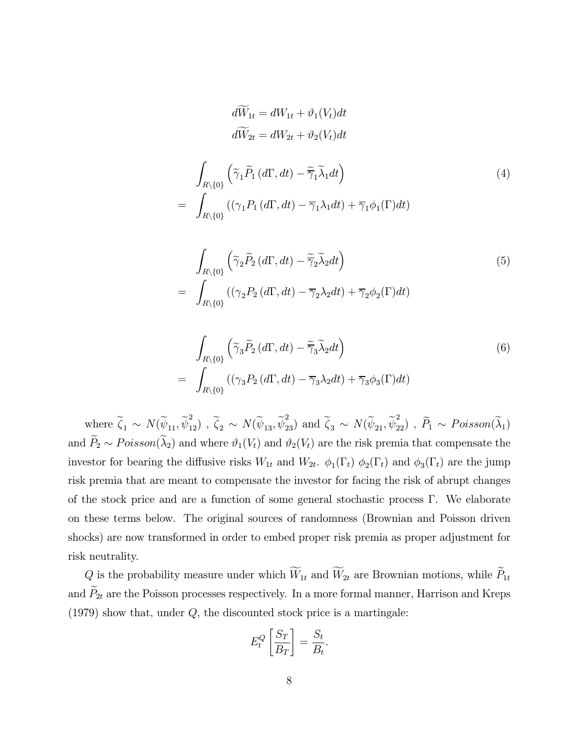$$
dW_{1t} = dW_{1t} + \vartheta_1(V_t)dt
$$
  
\n
$$
d\widetilde{W}_{2t} = dW_{2t} + \vartheta_2(V_t)dt
$$
  
\n
$$
\int_{R\setminus\{0\}} \left(\widetilde{\gamma}_1 \widetilde{P}_1(d\Gamma, dt) - \widetilde{\gamma}_1 \widetilde{\lambda}_1 dt\right)
$$
  
\n
$$
= \int_{R\setminus\{0\}} \left((\gamma_1 P_1(d\Gamma, dt) - \overline{\gamma}_1 \lambda_1 dt) + \overline{\gamma}_1 \phi_1(\Gamma) dt\right)
$$
\n(4)

$$
\int_{R\setminus\{0\}} \left(\tilde{\gamma}_2 \tilde{P}_2(d\Gamma, dt) - \tilde{\overline{\gamma}}_2 \tilde{\lambda}_2 dt\right)
$$
\n
$$
= \int_{R\setminus\{0\}} \left((\gamma_2 P_2(d\Gamma, dt) - \overline{\gamma}_2 \lambda_2 dt) + \overline{\gamma}_2 \phi_2(\Gamma) dt\right)
$$
\n(5)

$$
\int_{R\setminus\{0\}} \left(\tilde{\gamma}_3 \tilde{P}_2(d\Gamma, dt) - \tilde{\overline{\gamma}}_3 \tilde{\lambda}_2 dt\right)
$$
\n
$$
= \int_{R\setminus\{0\}} \left((\gamma_3 P_2(d\Gamma, dt) - \overline{\gamma}_3 \lambda_2 dt) + \overline{\gamma}_3 \phi_3(\Gamma) dt\right)
$$
\n(6)

where  $\widetilde{\zeta}_1 \sim N(\widetilde{\psi}_{11}, \widetilde{\psi}_{12}^2)$ ,  $\widetilde{\zeta}_2 \sim N(\widetilde{\psi}_{13}, \widetilde{\psi}_{23}^2)$  and  $\widetilde{\zeta}_3 \sim N(\widetilde{\psi}_{21}, \widetilde{\psi}_{22}^2)$ ,  $\widetilde{P}_1 \sim Poisson(\widetilde{\lambda}_1)$ and  $\widetilde{P}_2 \sim Poisson(\widetilde{\lambda}_2)$  and where  $\vartheta_1(V_t)$  and  $\vartheta_2(V_t)$  are the risk premia that compensate the investor for bearing the diffusive risks  $W_{1t}$  and  $W_{2t}$ .  $\phi_1(\Gamma_t)$   $\phi_2(\Gamma_t)$  and  $\phi_3(\Gamma_t)$  are the jump risk premia that are meant to compensate the investor for facing the risk of abrupt changes of the stock price and are a function of some general stochastic process Γ. We elaborate on these terms below. The original sources of randomness (Brownian and Poisson driven shocks) are now transformed in order to embed proper risk premia as proper adjustment for risk neutrality.

Q is the probability measure under which  $W_{1t}$  and  $W_{2t}$  are Brownian motions, while  $P_{1t}$ and  $P_{2t}$  are the Poisson processes respectively. In a more formal manner, Harrison and Kreps  $(1979)$  show that, under  $Q$ , the discounted stock price is a martingale:

$$
E_t^Q \left[ \frac{S_T}{B_T} \right] = \frac{S_t}{B_t}.
$$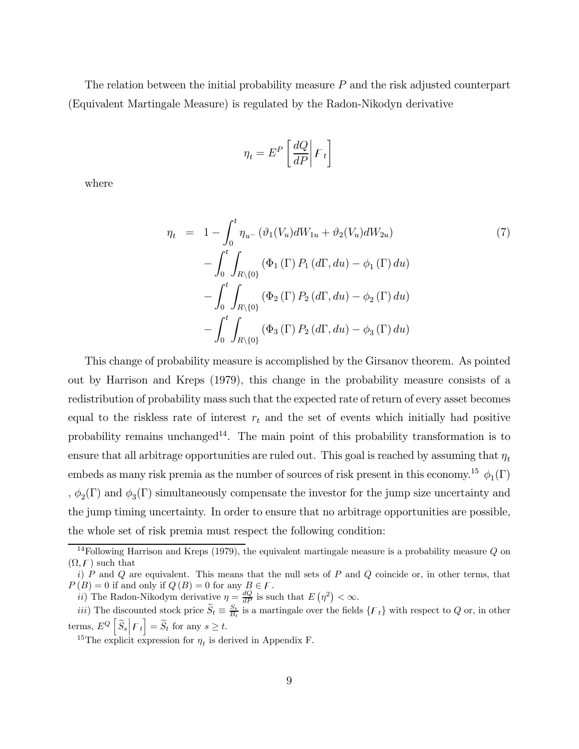The relation between the initial probability measure  $P$  and the risk adjusted counterpart (Equivalent Martingale Measure) is regulated by the Radon-Nikodyn derivative

$$
\eta_t = E^P \left[ \frac{dQ}{dP} \middle| {\cal F}_t \right]
$$

where

$$
\eta_t = 1 - \int_0^t \eta_{u^-} (\vartheta_1(V_u) dW_{1u} + \vartheta_2(V_u) dW_{2u})
$$
\n
$$
- \int_0^t \int_{R \setminus \{0\}} (\Phi_1(\Gamma) P_1(d\Gamma, du) - \phi_1(\Gamma) du)
$$
\n
$$
- \int_0^t \int_{R \setminus \{0\}} (\Phi_2(\Gamma) P_2(d\Gamma, du) - \phi_2(\Gamma) du)
$$
\n
$$
- \int_0^t \int_{R \setminus \{0\}} (\Phi_3(\Gamma) P_2(d\Gamma, du) - \phi_3(\Gamma) du)
$$
\n(7)

This change of probability measure is accomplished by the Girsanov theorem. As pointed out by Harrison and Kreps (1979), this change in the probability measure consists of a redistribution of probability mass such that the expected rate of return of every asset becomes equal to the riskless rate of interest  $r_t$  and the set of events which initially had positive probability remains unchanged<sup>14</sup>. The main point of this probability transformation is to ensure that all arbitrage opportunities are ruled out. This goal is reached by assuming that  $\eta_t$ embeds as many risk premia as the number of sources of risk present in this economy.<sup>15</sup>  $\phi_1(\Gamma)$ ,  $\phi_2(\Gamma)$  and  $\phi_3(\Gamma)$  simultaneously compensate the investor for the jump size uncertainty and the jump timing uncertainty. In order to ensure that no arbitrage opportunities are possible, the whole set of risk premia must respect the following condition:

 $14$ Following Harrison and Kreps (1979), the equivalent martingale measure is a probability measure Q on  $(\Omega, \mathcal{F})$  such that

i)  $P$  and  $Q$  are equivalent. This means that the null sets of  $P$  and  $Q$  coincide or, in other terms, that  $P(B) = 0$  if and only if  $Q(B) = 0$  for any  $B \in \mathcal{F}$ .

ii) The Radon-Nikodym derivative  $\eta = \frac{dQ}{dP}$  is such that  $E(\eta^2) < \infty$ .

iii) The discounted stock price  $\widetilde{S}_t \equiv \frac{S_t}{B_t}$  is a martingale over the fields  $\{F_t\}$  with respect to Q or, in other terms,  $E^Q\left[\widetilde{S}_s \middle| \mathcal{F}_t\right] = \widetilde{S}_t$  for any  $s \ge t$ .

<sup>&</sup>lt;sup>15</sup>The explicit expression for  $\eta_t$  is derived in Appendix F.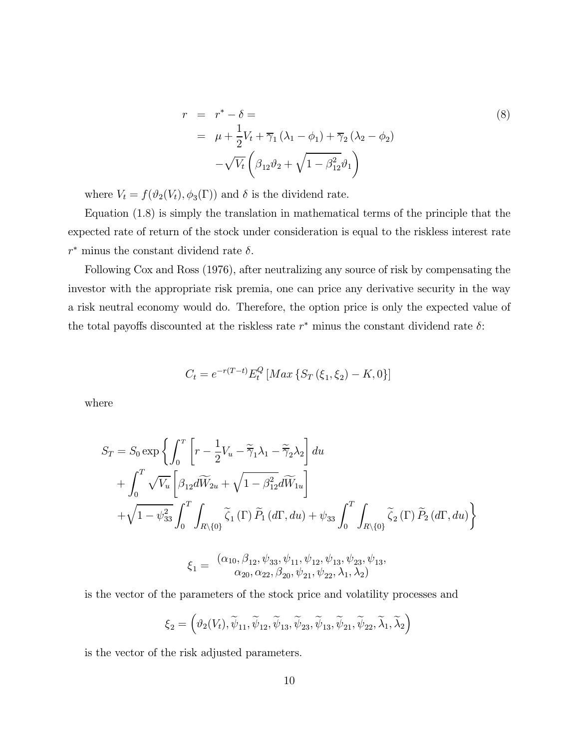$$
r = r^* - \delta =
$$
  
\n
$$
= \mu + \frac{1}{2}V_t + \overline{\gamma}_1(\lambda_1 - \phi_1) + \overline{\gamma}_2(\lambda_2 - \phi_2)
$$
  
\n
$$
-\sqrt{V_t} \left(\beta_{12}\vartheta_2 + \sqrt{1 - \beta_{12}^2}\vartheta_1\right)
$$
\n(8)

where  $V_t = f(\vartheta_2(V_t), \phi_3(\Gamma))$  and  $\delta$  is the dividend rate.

Equation (1.8) is simply the translation in mathematical terms of the principle that the expected rate of return of the stock under consideration is equal to the riskless interest rate  $r^*$  minus the constant dividend rate  $\delta$ .

Following Cox and Ross (1976), after neutralizing any source of risk by compensating the investor with the appropriate risk premia, one can price any derivative security in the way a risk neutral economy would do. Therefore, the option price is only the expected value of the total payoffs discounted at the riskless rate  $r^*$  minus the constant dividend rate  $\delta$ :

$$
C_t = e^{-r(T-t)} E_t^Q \left[ Max \left\{ S_T \left( \xi_1, \xi_2 \right) - K, 0 \right\} \right]
$$

where

$$
S_T = S_0 \exp\left\{\int_0^T \left[r - \frac{1}{2}V_u - \tilde{\overline{\gamma}}_1 \lambda_1 - \tilde{\overline{\gamma}}_2 \lambda_2\right] du + \int_0^T \sqrt{V_u} \left[\beta_{12} d\widetilde{W}_{2u} + \sqrt{1 - \beta_{12}^2} d\widetilde{W}_{1u}\right] + \sqrt{1 - \psi_{33}^2} \int_0^T \int_{R \setminus \{0\}} \tilde{\zeta}_1(\Gamma) \tilde{P}_1(d\Gamma, du) + \psi_{33} \int_0^T \int_{R \setminus \{0\}} \tilde{\zeta}_2(\Gamma) \tilde{P}_2(d\Gamma, du)\right\}
$$

$$
\xi_1 = \frac{(\alpha_{10}, \beta_{12}, \psi_{33}, \psi_{11}, \psi_{12}, \psi_{13}, \psi_{23}, \psi_{13}, \phi_{20}, \alpha_{22}, \beta_{20}, \psi_{21}, \psi_{22}, \lambda_1, \lambda_2)}{\alpha_{20}, \alpha_{22}, \beta_{20}, \psi_{21}, \psi_{22}, \lambda_1, \lambda_2)}
$$

is the vector of the parameters of the stock price and volatility processes and

$$
\xi_2=\left(\vartheta_2(V_t),\widetilde{\psi}_{11},\widetilde{\psi}_{12},\widetilde{\psi}_{13},\widetilde{\psi}_{23},\widetilde{\psi}_{13},\widetilde{\psi}_{21},\widetilde{\psi}_{22},\widetilde{\lambda}_1,\widetilde{\lambda}_2\right)
$$

is the vector of the risk adjusted parameters.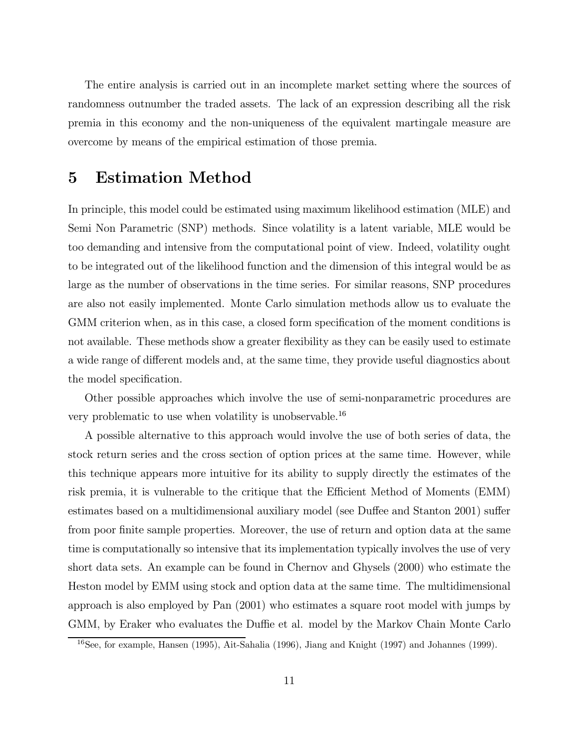The entire analysis is carried out in an incomplete market setting where the sources of randomness outnumber the traded assets. The lack of an expression describing all the risk premia in this economy and the non-uniqueness of the equivalent martingale measure are overcome by means of the empirical estimation of those premia.

## 5 Estimation Method

In principle, this model could be estimated using maximum likelihood estimation (MLE) and Semi Non Parametric (SNP) methods. Since volatility is a latent variable, MLE would be too demanding and intensive from the computational point of view. Indeed, volatility ought to be integrated out of the likelihood function and the dimension of this integral would be as large as the number of observations in the time series. For similar reasons, SNP procedures are also not easily implemented. Monte Carlo simulation methods allow us to evaluate the GMM criterion when, as in this case, a closed form specification of the moment conditions is not available. These methods show a greater flexibility as they can be easily used to estimate a wide range of different models and, at the same time, they provide useful diagnostics about the model specification.

Other possible approaches which involve the use of semi-nonparametric procedures are very problematic to use when volatility is unobservable.<sup>16</sup>

A possible alternative to this approach would involve the use of both series of data, the stock return series and the cross section of option prices at the same time. However, while this technique appears more intuitive for its ability to supply directly the estimates of the risk premia, it is vulnerable to the critique that the Efficient Method of Moments (EMM) estimates based on a multidimensional auxiliary model (see Duffee and Stanton 2001) suffer from poor finite sample properties. Moreover, the use of return and option data at the same time is computationally so intensive that its implementation typically involves the use of very short data sets. An example can be found in Chernov and Ghysels (2000) who estimate the Heston model by EMM using stock and option data at the same time. The multidimensional approach is also employed by Pan (2001) who estimates a square root model with jumps by GMM, by Eraker who evaluates the Duffie et al. model by the Markov Chain Monte Carlo

<sup>16</sup>See, for example, Hansen (1995), Ait-Sahalia (1996), Jiang and Knight (1997) and Johannes (1999).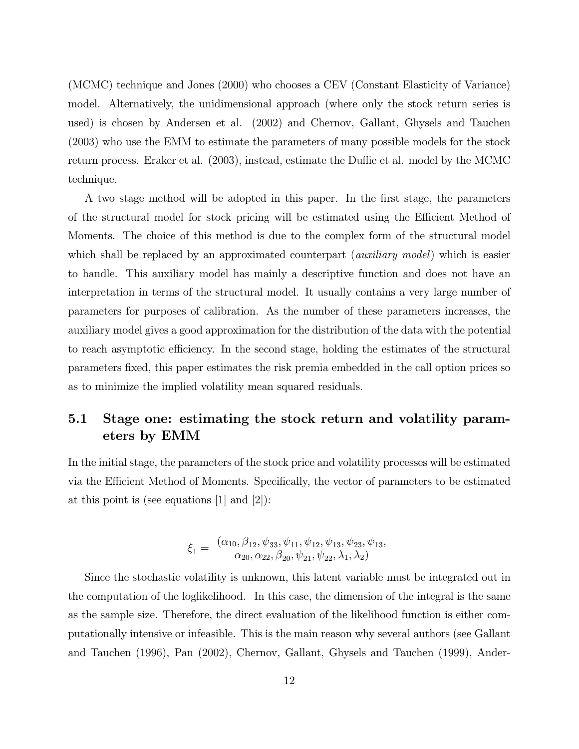(MCMC) technique and Jones (2000) who chooses a CEV (Constant Elasticity of Variance) model. Alternatively, the unidimensional approach (where only the stock return series is used) is chosen by Andersen et al. (2002) and Chernov, Gallant, Ghysels and Tauchen (2003) who use the EMM to estimate the parameters of many possible models for the stock return process. Eraker et al. (2003), instead, estimate the Duffie et al. model by the MCMC technique.

A two stage method will be adopted in this paper. In the first stage, the parameters of the structural model for stock pricing will be estimated using the Efficient Method of Moments. The choice of this method is due to the complex form of the structural model which shall be replaced by an approximated counterpart *(auxiliary model)* which is easier to handle. This auxiliary model has mainly a descriptive function and does not have an interpretation in terms of the structural model. It usually contains a very large number of parameters for purposes of calibration. As the number of these parameters increases, the auxiliary model gives a good approximation for the distribution of the data with the potential to reach asymptotic efficiency. In the second stage, holding the estimates of the structural parameters fixed, this paper estimates the risk premia embedded in the call option prices so as to minimize the implied volatility mean squared residuals.

### 5.1 Stage one: estimating the stock return and volatility parameters by EMM

In the initial stage, the parameters of the stock price and volatility processes will be estimated via the Efficient Method of Moments. Specifically, the vector of parameters to be estimated at this point is (see equations [1] and [2]):

$$
\xi_1 = \frac{(\alpha_{10}, \beta_{12}, \psi_{33}, \psi_{11}, \psi_{12}, \psi_{13}, \psi_{23}, \psi_{13}, \phi_{20}, \alpha_{22}, \beta_{20}, \psi_{21}, \psi_{22}, \lambda_1, \lambda_2)}{\alpha_{20}, \alpha_{22}, \beta_{20}, \psi_{21}, \psi_{22}, \lambda_1, \lambda_2}
$$

Since the stochastic volatility is unknown, this latent variable must be integrated out in the computation of the loglikelihood. In this case, the dimension of the integral is the same as the sample size. Therefore, the direct evaluation of the likelihood function is either computationally intensive or infeasible. This is the main reason why several authors (see Gallant and Tauchen (1996), Pan (2002), Chernov, Gallant, Ghysels and Tauchen (1999), Ander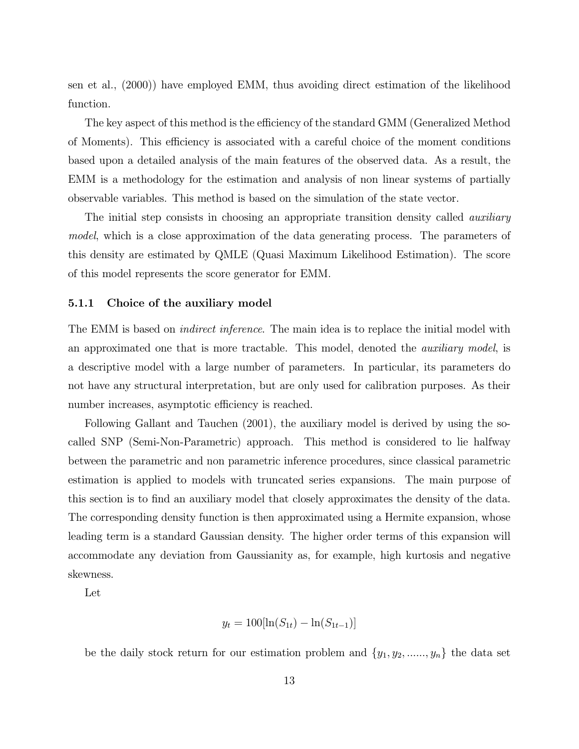sen et al., (2000)) have employed EMM, thus avoiding direct estimation of the likelihood function.

The key aspect of this method is the efficiency of the standard GMM (Generalized Method of Moments). This efficiency is associated with a careful choice of the moment conditions based upon a detailed analysis of the main features of the observed data. As a result, the EMM is a methodology for the estimation and analysis of non linear systems of partially observable variables. This method is based on the simulation of the state vector.

The initial step consists in choosing an appropriate transition density called *auxiliary* model, which is a close approximation of the data generating process. The parameters of this density are estimated by QMLE (Quasi Maximum Likelihood Estimation). The score of this model represents the score generator for EMM.

#### 5.1.1 Choice of the auxiliary model

The EMM is based on *indirect inference*. The main idea is to replace the initial model with an approximated one that is more tractable. This model, denoted the auxiliary model, is a descriptive model with a large number of parameters. In particular, its parameters do not have any structural interpretation, but are only used for calibration purposes. As their number increases, asymptotic efficiency is reached.

Following Gallant and Tauchen (2001), the auxiliary model is derived by using the socalled SNP (Semi-Non-Parametric) approach. This method is considered to lie halfway between the parametric and non parametric inference procedures, since classical parametric estimation is applied to models with truncated series expansions. The main purpose of this section is to find an auxiliary model that closely approximates the density of the data. The corresponding density function is then approximated using a Hermite expansion, whose leading term is a standard Gaussian density. The higher order terms of this expansion will accommodate any deviation from Gaussianity as, for example, high kurtosis and negative skewness.

Let

$$
y_t = 100[\ln(S_{1t}) - \ln(S_{1t-1})]
$$

be the daily stock return for our estimation problem and  $\{y_1, y_2, \ldots, y_n\}$  the data set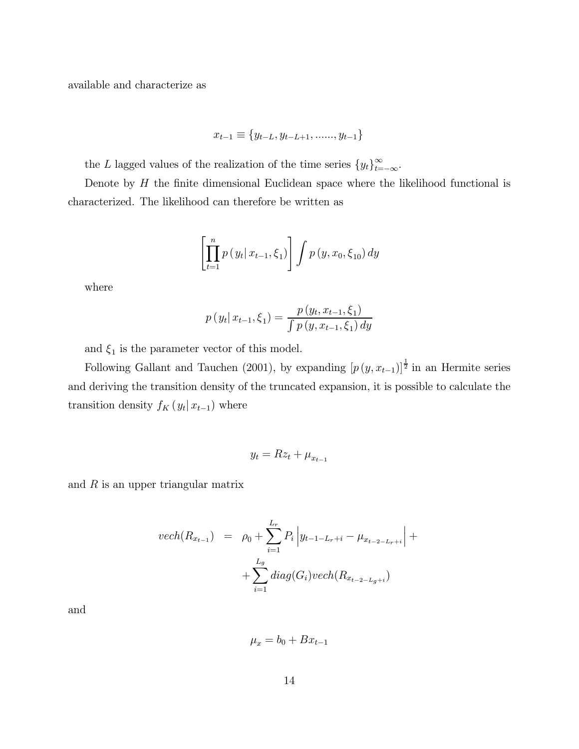available and characterize as

$$
x_{t-1} \equiv \{y_{t-L}, y_{t-L+1}, \dots, y_{t-1}\}
$$

the L lagged values of the realization of the time series  $\{y_t\}_{t=-\infty}^{\infty}$ .

Denote by  $H$  the finite dimensional Euclidean space where the likelihood functional is characterized. The likelihood can therefore be written as

$$
\left[\prod_{t=1}^{n} p(y_t | x_{t-1}, \xi_1) \right] \int p(y, x_0, \xi_{10}) \, dy
$$

where

$$
p(y_t | x_{t-1}, \xi_1) = \frac{p(y_t, x_{t-1}, \xi_1)}{\int p(y, x_{t-1}, \xi_1) dy}
$$

and  $\xi_1$  is the parameter vector of this model.

Following Gallant and Tauchen (2001), by expanding  $[p(y, x_{t-1})]^{\frac{1}{2}}$  in an Hermite series and deriving the transition density of the truncated expansion, it is possible to calculate the transition density  $f_K(y_t | x_{t-1})$  where

$$
y_t = Rz_t + \mu_{x_{t-1}}
$$

and  $R$  is an upper triangular matrix

$$
vech(R_{x_{t-1}}) = \rho_0 + \sum_{i=1}^{L_r} P_i \left| y_{t-1-L_r+i} - \mu_{x_{t-2-L_r+i}} \right| + \sum_{i=1}^{L_g} diag(G_i) vech(R_{x_{t-2-L_g+i}})
$$

and

$$
\mu_x = b_0 + Bx_{t-1}
$$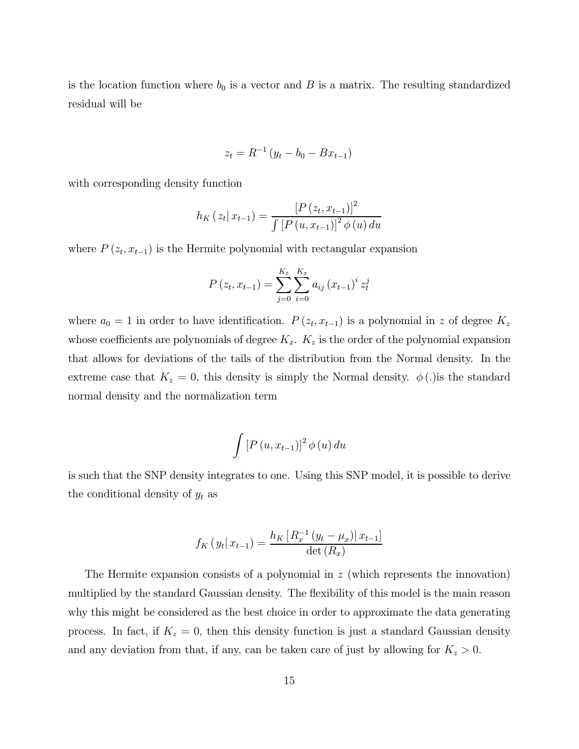is the location function where  $b_0$  is a vector and B is a matrix. The resulting standardized residual will be

$$
z_t = R^{-1} (y_t - b_0 - Bx_{t-1})
$$

with corresponding density function

$$
h_{K}(z_{t} | x_{t-1}) = \frac{[P(z_{t}, x_{t-1})]^{2}}{\int [P(u, x_{t-1})]^{2} \phi(u) du}
$$

where  $P(z_t, x_{t-1})$  is the Hermite polynomial with rectangular expansion

$$
P(z_t, x_{t-1}) = \sum_{j=0}^{K_z} \sum_{i=0}^{K_x} a_{ij} (x_{t-1})^i z_t^j
$$

where  $a_0 = 1$  in order to have identification.  $P(z_t, x_{t-1})$  is a polynomial in z of degree  $K_z$ whose coefficients are polynomials of degree  $K_x$ .  $K_z$  is the order of the polynomial expansion that allows for deviations of the tails of the distribution from the Normal density. In the extreme case that  $K_z = 0$ , this density is simply the Normal density.  $\phi(.)$  is the standard normal density and the normalization term

$$
\int \left[ P\left( u, x_{t-1} \right) \right]^2 \phi \left( u \right) du
$$

is such that the SNP density integrates to one. Using this SNP model, it is possible to derive the conditional density of  $y_t$  as

$$
f_K(y_t | x_{t-1}) = \frac{h_K [R_x^{-1} (y_t - \mu_x) | x_{t-1}]}{\det (R_x)}
$$

The Hermite expansion consists of a polynomial in z (which represents the innovation) multiplied by the standard Gaussian density. The flexibility of this model is the main reason why this might be considered as the best choice in order to approximate the data generating process. In fact, if  $K_z = 0$ , then this density function is just a standard Gaussian density and any deviation from that, if any, can be taken care of just by allowing for  $K_z > 0$ .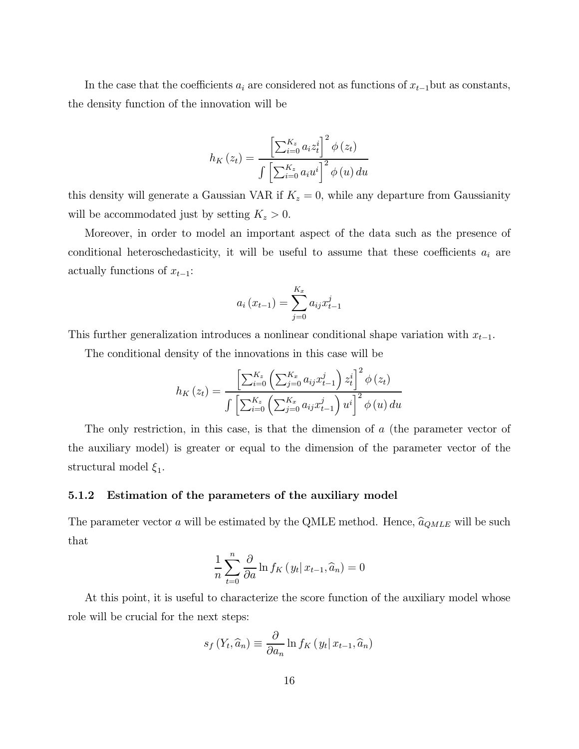In the case that the coefficients  $a_i$  are considered not as functions of  $x_{t-1}$ but as constants, the density function of the innovation will be

$$
h_K(z_t) = \frac{\left[\sum_{i=0}^{K_z} a_i z_t^i\right]^2 \phi(z_t)}{\int \left[\sum_{i=0}^{K_z} a_i u^i\right]^2 \phi(u) du}
$$

this density will generate a Gaussian VAR if  $K_z = 0$ , while any departure from Gaussianity will be accommodated just by setting  $K_z > 0$ .

Moreover, in order to model an important aspect of the data such as the presence of conditional heteroschedasticity, it will be useful to assume that these coefficients  $a_i$  are actually functions of  $x_{t-1}$ :

$$
a_i(x_{t-1}) = \sum_{j=0}^{K_x} a_{ij} x_{t-1}^j
$$

This further generalization introduces a nonlinear conditional shape variation with  $x_{t-1}$ .

The conditional density of the innovations in this case will be

$$
h_K(z_t) = \frac{\left[\sum_{i=0}^{K_z} \left(\sum_{j=0}^{K_x} a_{ij} x_{t-1}^j\right) z_t^i\right]^2 \phi(z_t)}{\int \left[\sum_{i=0}^{K_z} \left(\sum_{j=0}^{K_x} a_{ij} x_{t-1}^j\right) u^i\right]^2 \phi(u) du}
$$

The only restriction, in this case, is that the dimension of a (the parameter vector of the auxiliary model) is greater or equal to the dimension of the parameter vector of the structural model  $\xi_1$ .

#### 5.1.2 Estimation of the parameters of the auxiliary model

The parameter vector a will be estimated by the QMLE method. Hence,  $\hat{a}_{QMLE}$  will be such that

$$
\frac{1}{n}\sum_{t=0}^{n} \frac{\partial}{\partial a} \ln f_K\left(y_t | x_{t-1}, \hat{a}_n\right) = 0
$$

At this point, it is useful to characterize the score function of the auxiliary model whose role will be crucial for the next steps:

$$
s_f(Y_t, \widehat{a}_n) \equiv \frac{\partial}{\partial a_n} \ln f_K(y_t | x_{t-1}, \widehat{a}_n)
$$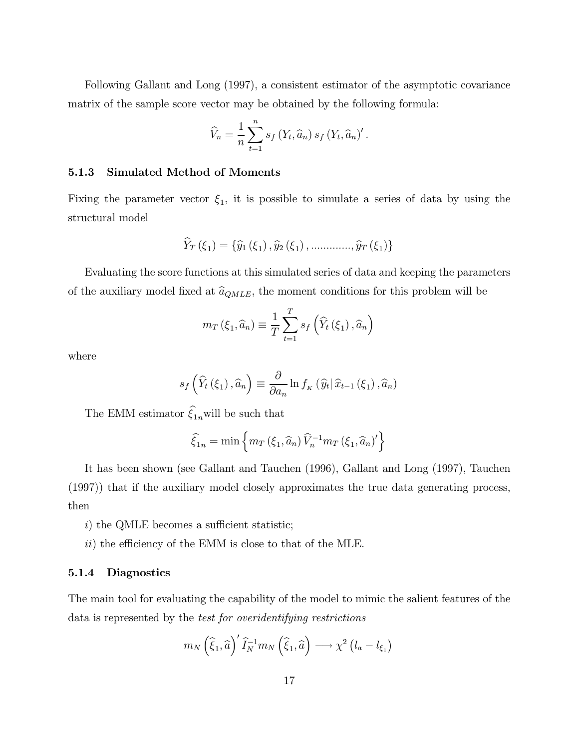Following Gallant and Long (1997), a consistent estimator of the asymptotic covariance matrix of the sample score vector may be obtained by the following formula:

$$
\widehat{V}_n = \frac{1}{n} \sum_{t=1}^n s_f(Y_t, \widehat{a}_n) s_f(Y_t, \widehat{a}_n)'
$$

#### 5.1.3 Simulated Method of Moments

Fixing the parameter vector  $\xi_1$ , it is possible to simulate a series of data by using the structural model

$$
\widehat{Y}_T(\xi_1) = \{ \widehat{y}_1(\xi_1), \widehat{y}_2(\xi_1), \dots, \dots, \widehat{y}_T(\xi_1) \}
$$

Evaluating the score functions at this simulated series of data and keeping the parameters of the auxiliary model fixed at  $\hat{a}_{QMLE}$ , the moment conditions for this problem will be

$$
m_T(\xi_1, \widehat{a}_n) \equiv \frac{1}{T} \sum_{t=1}^T s_f\left(\widehat{Y}_t(\xi_1), \widehat{a}_n\right)
$$

where

$$
s_f\left(\widehat{Y}_t\left(\xi_1\right),\widehat{a}_n\right) \equiv \frac{\partial}{\partial a_n} \ln f_{\kappa}\left(\widehat{y}_t | \widehat{x}_{t-1}\left(\xi_1\right),\widehat{a}_n\right)
$$

The EMM estimator  $\xi_{1n}$  will be such that

$$
\widehat{\xi}_{1n} = \min \left\{ m_T \left( \xi_1, \widehat{a}_n \right) \widehat{V}_n^{-1} m_T \left( \xi_1, \widehat{a}_n \right)' \right\}
$$

It has been shown (see Gallant and Tauchen (1996), Gallant and Long (1997), Tauchen (1997)) that if the auxiliary model closely approximates the true data generating process, then

- i) the QMLE becomes a sufficient statistic;
- ii) the efficiency of the EMM is close to that of the MLE.

#### 5.1.4 Diagnostics

The main tool for evaluating the capability of the model to mimic the salient features of the data is represented by the test for overidentifying restrictions

$$
m_N\left(\widehat{\xi}_1,\widehat{a}\right)' \widehat{I}_N^{-1} m_N\left(\widehat{\xi}_1,\widehat{a}\right) \longrightarrow \chi^2\left(l_a-l_{\xi_1}\right)
$$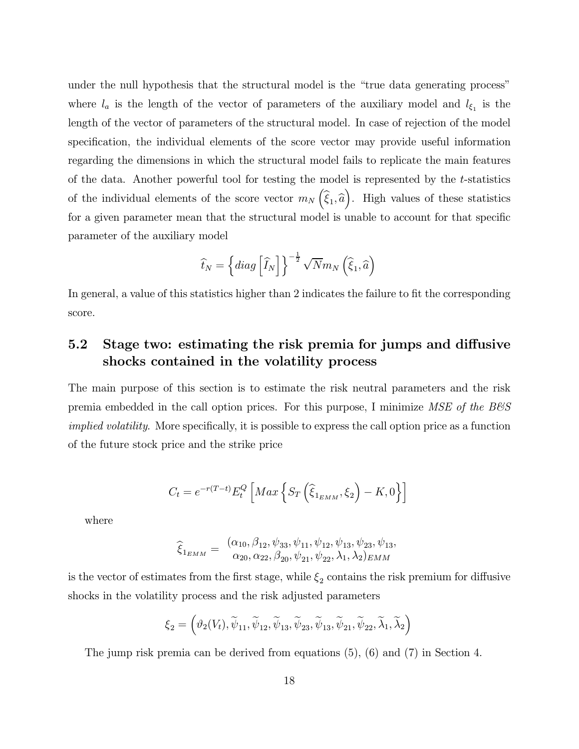under the null hypothesis that the structural model is the "true data generating process" where  $l_a$  is the length of the vector of parameters of the auxiliary model and  $l_{\xi_1}$  is the length of the vector of parameters of the structural model. In case of rejection of the model specification, the individual elements of the score vector may provide useful information regarding the dimensions in which the structural model fails to replicate the main features of the data. Another powerful tool for testing the model is represented by the t-statistics of the individual elements of the score vector  $m_N(\hat{\xi}_1, \hat{a})$ . High values of these statistics for a given parameter mean that the structural model is unable to account for that specific parameter of the auxiliary model

$$
\widehat{t}_N = \left\{ diag \left[ \widehat{I}_N \right] \right\}^{-\frac{1}{2}} \sqrt{N} m_N \left( \widehat{\xi}_1, \widehat{a} \right)
$$

In general, a value of this statistics higher than 2 indicates the failure to fit the corresponding score.

## 5.2 Stage two: estimating the risk premia for jumps and diffusive shocks contained in the volatility process

The main purpose of this section is to estimate the risk neutral parameters and the risk premia embedded in the call option prices. For this purpose, I minimize  $MSE$  of the  $BES$ implied volatility. More specifically, it is possible to express the call option price as a function of the future stock price and the strike price

$$
C_t = e^{-r(T-t)} E_t^Q \left[ Max \left\{ S_T \left( \widehat{\xi}_{1_{EMM}}, \xi_2 \right) - K, 0 \right\} \right]
$$

where

$$
\widehat{\xi}_{1_{EMM}} = \frac{(\alpha_{10}, \beta_{12}, \psi_{33}, \psi_{11}, \psi_{12}, \psi_{13}, \psi_{23}, \psi_{13}, \phi_{20}, \alpha_{22}, \beta_{20}, \psi_{21}, \psi_{22}, \lambda_1, \lambda_2)_{EMM}
$$

is the vector of estimates from the first stage, while  $\xi_2$  contains the risk premium for diffusive shocks in the volatility process and the risk adjusted parameters

$$
\xi_2=\left(\vartheta_2(V_t),\widetilde{\psi}_{11},\widetilde{\psi}_{12},\widetilde{\psi}_{13},\widetilde{\psi}_{23},\widetilde{\psi}_{13},\widetilde{\psi}_{21},\widetilde{\psi}_{22},\widetilde{\lambda}_1,\widetilde{\lambda}_2\right)
$$

The jump risk premia can be derived from equations (5), (6) and (7) in Section 4.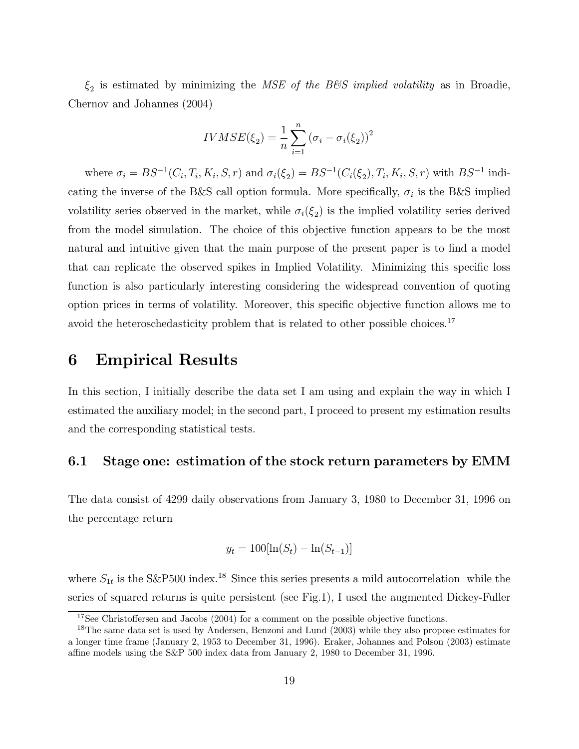$\xi_2$  is estimated by minimizing the MSE of the B&S implied volatility as in Broadie, Chernov and Johannes (2004)

$$
IVMSE(\xi_2) = \frac{1}{n} \sum_{i=1}^{n} (\sigma_i - \sigma_i(\xi_2))^2
$$

where  $\sigma_i = BS^{-1}(C_i, T_i, K_i, S, r)$  and  $\sigma_i(\xi_2) = BS^{-1}(C_i(\xi_2), T_i, K_i, S, r)$  with  $BS^{-1}$  indicating the inverse of the B&S call option formula. More specifically,  $\sigma_i$  is the B&S implied volatility series observed in the market, while  $\sigma_i(\xi_2)$  is the implied volatility series derived from the model simulation. The choice of this objective function appears to be the most natural and intuitive given that the main purpose of the present paper is to find a model that can replicate the observed spikes in Implied Volatility. Minimizing this specific loss function is also particularly interesting considering the widespread convention of quoting option prices in terms of volatility. Moreover, this specific objective function allows me to avoid the heteroschedasticity problem that is related to other possible choices.<sup>17</sup>

## 6 Empirical Results

In this section, I initially describe the data set I am using and explain the way in which I estimated the auxiliary model; in the second part, I proceed to present my estimation results and the corresponding statistical tests.

### 6.1 Stage one: estimation of the stock return parameters by EMM

The data consist of 4299 daily observations from January 3, 1980 to December 31, 1996 on the percentage return

$$
y_t = 100[\ln(S_t) - \ln(S_{t-1})]
$$

where  $S_{1t}$  is the S&P500 index.<sup>18</sup> Since this series presents a mild autocorrelation while the series of squared returns is quite persistent (see Fig.1), I used the augmented Dickey-Fuller

<sup>&</sup>lt;sup>17</sup>See Christoffersen and Jacobs (2004) for a comment on the possible objective functions.

<sup>&</sup>lt;sup>18</sup>The same data set is used by Andersen, Benzoni and Lund (2003) while they also propose estimates for a longer time frame (January 2, 1953 to December 31, 1996). Eraker, Johannes and Polson (2003) estimate affine models using the S&P 500 index data from January 2, 1980 to December 31, 1996.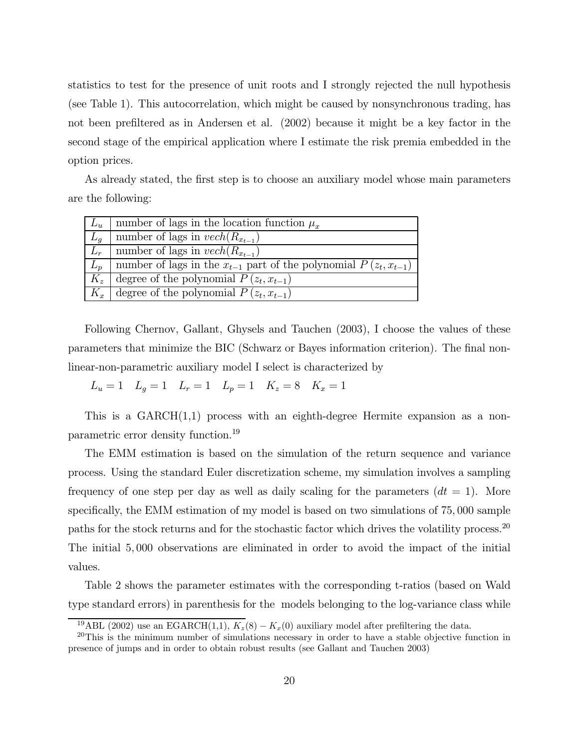statistics to test for the presence of unit roots and I strongly rejected the null hypothesis (see Table 1). This autocorrelation, which might be caused by nonsynchronous trading, has not been prefiltered as in Andersen et al. (2002) because it might be a key factor in the second stage of the empirical application where I estimate the risk premia embedded in the option prices.

As already stated, the first step is to choose an auxiliary model whose main parameters are the following:

| $L_n$ | number of lags in the location function $\mu_{\tau}$                     |
|-------|--------------------------------------------------------------------------|
| $L_q$ | number of lags in $vech(R_{x_{t-1}})$                                    |
| $L_r$ | number of lags in $vech(R_{x_{t-1}})$                                    |
| $L_p$ | number of lags in the $x_{t-1}$ part of the polynomial $P(z_t, x_{t-1})$ |
| $K_z$ | degree of the polynomial $P(z_t, x_{t-1})$                               |
| $K_x$ | degree of the polynomial $P(z_t, x_{t-1})$                               |

Following Chernov, Gallant, Ghysels and Tauchen (2003), I choose the values of these parameters that minimize the BIC (Schwarz or Bayes information criterion). The final nonlinear-non-parametric auxiliary model I select is characterized by

 $L_u = 1$   $L_g = 1$   $L_r = 1$   $L_p = 1$   $K_z = 8$   $K_x = 1$ 

This is a GARCH(1,1) process with an eighth-degree Hermite expansion as a nonparametric error density function.<sup>19</sup>

The EMM estimation is based on the simulation of the return sequence and variance process. Using the standard Euler discretization scheme, my simulation involves a sampling frequency of one step per day as well as daily scaling for the parameters  $(dt = 1)$ . More specifically, the EMM estimation of my model is based on two simulations of 75, 000 sample paths for the stock returns and for the stochastic factor which drives the volatility process.<sup>20</sup> The initial 5, 000 observations are eliminated in order to avoid the impact of the initial values.

Table 2 shows the parameter estimates with the corresponding t-ratios (based on Wald type standard errors) in parenthesis for the models belonging to the log-variance class while

<sup>&</sup>lt;sup>19</sup>ABL (2002) use an EGARCH(1,1),  $K_z(8) - K_x(0)$  auxiliary model after prefiltering the data.

<sup>&</sup>lt;sup>20</sup>This is the minimum number of simulations necessary in order to have a stable objective function in presence of jumps and in order to obtain robust results (see Gallant and Tauchen 2003)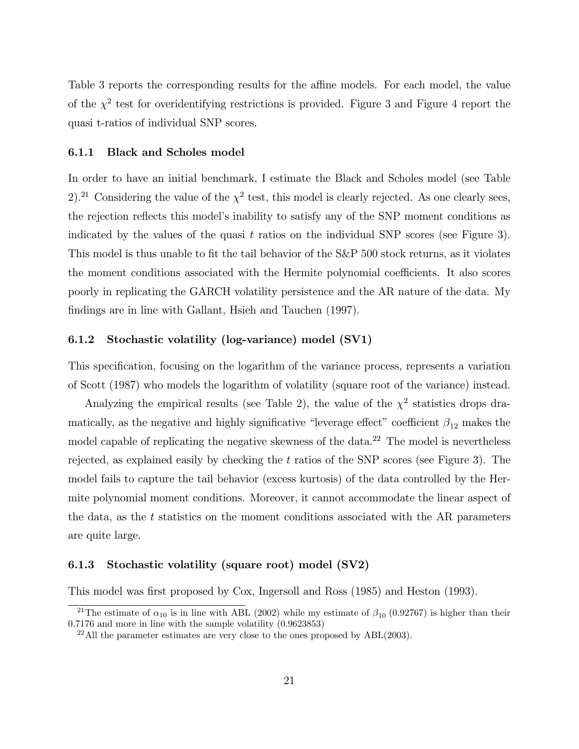Table 3 reports the corresponding results for the affine models. For each model, the value of the  $\chi^2$  test for overidentifying restrictions is provided. Figure 3 and Figure 4 report the quasi t-ratios of individual SNP scores.

#### 6.1.1 Black and Scholes model

In order to have an initial benchmark, I estimate the Black and Scholes model (see Table 2).<sup>21</sup> Considering the value of the  $\chi^2$  test, this model is clearly rejected. As one clearly sees, the rejection reflects this model's inability to satisfy any of the SNP moment conditions as indicated by the values of the quasi  $t$  ratios on the individual SNP scores (see Figure 3). This model is thus unable to fit the tail behavior of the S&P 500 stock returns, as it violates the moment conditions associated with the Hermite polynomial coefficients. It also scores poorly in replicating the GARCH volatility persistence and the AR nature of the data. My findings are in line with Gallant, Hsieh and Tauchen (1997).

### 6.1.2 Stochastic volatility (log-variance) model (SV1)

This specification, focusing on the logarithm of the variance process, represents a variation of Scott (1987) who models the logarithm of volatility (square root of the variance) instead.

Analyzing the empirical results (see Table 2), the value of the  $\chi^2$  statistics drops dramatically, as the negative and highly significative "leverage effect" coefficient  $\beta_{12}$  makes the model capable of replicating the negative skewness of the data.<sup>22</sup> The model is nevertheless rejected, as explained easily by checking the  $t$  ratios of the SNP scores (see Figure 3). The model fails to capture the tail behavior (excess kurtosis) of the data controlled by the Hermite polynomial moment conditions. Moreover, it cannot accommodate the linear aspect of the data, as the  $t$  statistics on the moment conditions associated with the AR parameters are quite large.

#### 6.1.3 Stochastic volatility (square root) model (SV2)

This model was first proposed by Cox, Ingersoll and Ross (1985) and Heston (1993).

<sup>&</sup>lt;sup>21</sup>The estimate of  $\alpha_{10}$  is in line with ABL (2002) while my estimate of  $\beta_{10}$  (0.92767) is higher than their 0.7176 and more in line with the sample volatility (0.9623853)

 $22$ All the parameter estimates are very close to the ones proposed by  $ABL(2003)$ .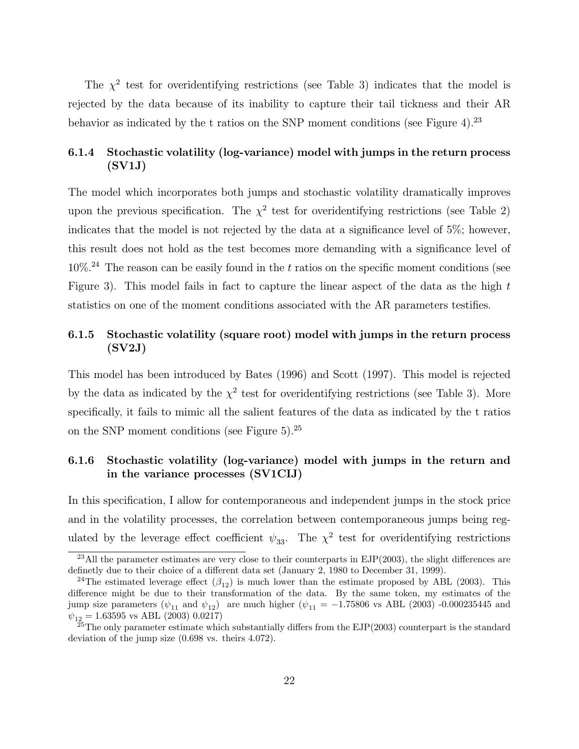The  $\chi^2$  test for overidentifying restrictions (see Table 3) indicates that the model is rejected by the data because of its inability to capture their tail tickness and their AR behavior as indicated by the t ratios on the SNP moment conditions (see Figure 4).<sup>23</sup>

### 6.1.4 Stochastic volatility (log-variance) model with jumps in the return process (SV1J)

The model which incorporates both jumps and stochastic volatility dramatically improves upon the previous specification. The  $\chi^2$  test for overidentifying restrictions (see Table 2) indicates that the model is not rejected by the data at a significance level of 5%; however, this result does not hold as the test becomes more demanding with a significance level of  $10\%$ <sup>24</sup> The reason can be easily found in the t ratios on the specific moment conditions (see Figure 3). This model fails in fact to capture the linear aspect of the data as the high t statistics on one of the moment conditions associated with the AR parameters testifies.

### 6.1.5 Stochastic volatility (square root) model with jumps in the return process (SV2J)

This model has been introduced by Bates (1996) and Scott (1997). This model is rejected by the data as indicated by the  $\chi^2$  test for overidentifying restrictions (see Table 3). More specifically, it fails to mimic all the salient features of the data as indicated by the t ratios on the SNP moment conditions (see Figure 5).<sup>25</sup>

### 6.1.6 Stochastic volatility (log-variance) model with jumps in the return and in the variance processes (SV1CIJ)

In this specification, I allow for contemporaneous and independent jumps in the stock price and in the volatility processes, the correlation between contemporaneous jumps being regulated by the leverage effect coefficient  $\psi_{33}$ . The  $\chi^2$  test for overidentifying restrictions

<sup>&</sup>lt;sup>23</sup>All the parameter estimates are very close to their counterparts in EJP(2003), the slight differences are definetly due to their choice of a different data set (January 2, 1980 to December 31, 1999).

<sup>&</sup>lt;sup>24</sup>The estimated leverage effect  $(\beta_{12})$  is much lower than the estimate proposed by ABL (2003). This difference might be due to their transformation of the data. By the same token, my estimates of the jump size parameters ( $\psi_{11}$  and  $\psi_{12}$ ) are much higher ( $\psi_{11} = -1.75806$  vs ABL (2003) -0.000235445 and  $\psi_{12} = 1.63595$  vs ABL (2003) 0.0217)

<sup>&</sup>lt;sup>25</sup>The only parameter estimate which substantially differs from the EJP(2003) counterpart is the standard deviation of the jump size (0.698 vs. theirs 4.072).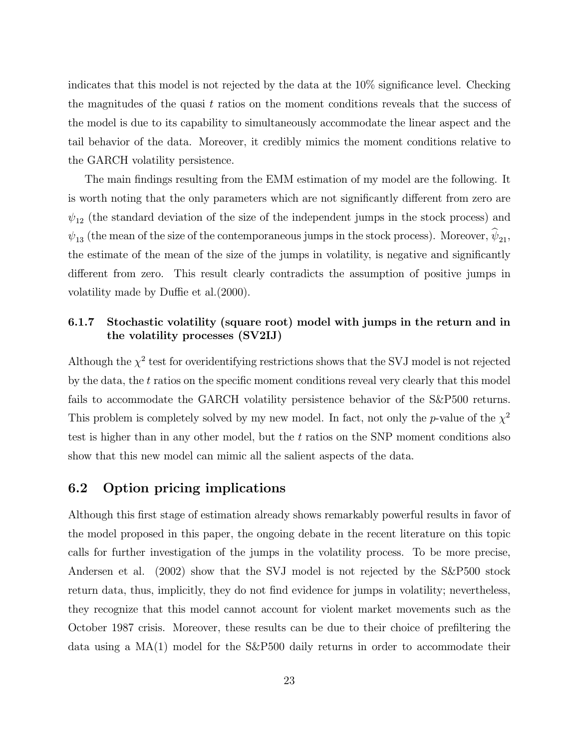indicates that this model is not rejected by the data at the 10% significance level. Checking the magnitudes of the quasi  $t$  ratios on the moment conditions reveals that the success of the model is due to its capability to simultaneously accommodate the linear aspect and the tail behavior of the data. Moreover, it credibly mimics the moment conditions relative to the GARCH volatility persistence.

The main findings resulting from the EMM estimation of my model are the following. It is worth noting that the only parameters which are not significantly different from zero are  $\psi_{12}$  (the standard deviation of the size of the independent jumps in the stock process) and  $\psi_{13}$  (the mean of the size of the contemporaneous jumps in the stock process). Moreover,  $\widehat{\psi}_{21}$ , the estimate of the mean of the size of the jumps in volatility, is negative and significantly different from zero. This result clearly contradicts the assumption of positive jumps in volatility made by Duffie et al.(2000).

### 6.1.7 Stochastic volatility (square root) model with jumps in the return and in the volatility processes (SV2IJ)

Although the  $\chi^2$  test for overidentifying restrictions shows that the SVJ model is not rejected by the data, the  $t$  ratios on the specific moment conditions reveal very clearly that this model fails to accommodate the GARCH volatility persistence behavior of the S&P500 returns. This problem is completely solved by my new model. In fact, not only the p-value of the  $\chi^2$ test is higher than in any other model, but the t ratios on the SNP moment conditions also show that this new model can mimic all the salient aspects of the data.

### 6.2 Option pricing implications

Although this first stage of estimation already shows remarkably powerful results in favor of the model proposed in this paper, the ongoing debate in the recent literature on this topic calls for further investigation of the jumps in the volatility process. To be more precise, Andersen et al. (2002) show that the SVJ model is not rejected by the S&P500 stock return data, thus, implicitly, they do not find evidence for jumps in volatility; nevertheless, they recognize that this model cannot account for violent market movements such as the October 1987 crisis. Moreover, these results can be due to their choice of prefiltering the data using a MA(1) model for the S&P500 daily returns in order to accommodate their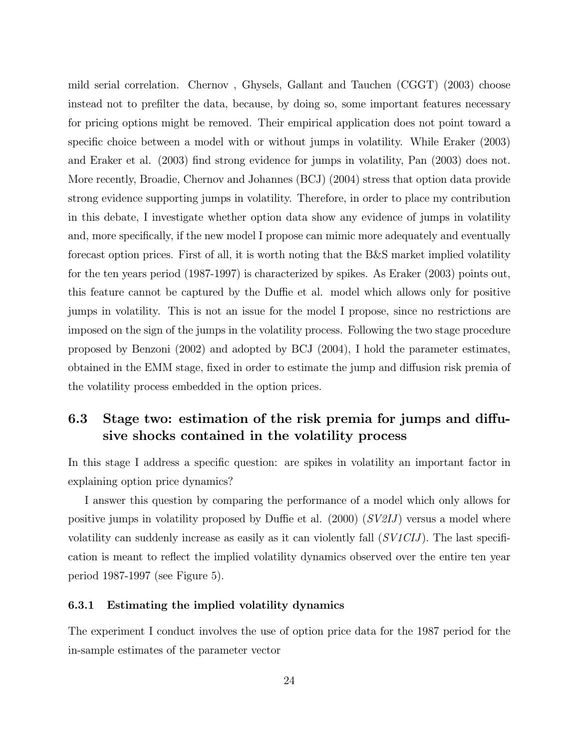mild serial correlation. Chernov , Ghysels, Gallant and Tauchen (CGGT) (2003) choose instead not to prefilter the data, because, by doing so, some important features necessary for pricing options might be removed. Their empirical application does not point toward a specific choice between a model with or without jumps in volatility. While Eraker (2003) and Eraker et al. (2003) find strong evidence for jumps in volatility, Pan (2003) does not. More recently, Broadie, Chernov and Johannes (BCJ) (2004) stress that option data provide strong evidence supporting jumps in volatility. Therefore, in order to place my contribution in this debate, I investigate whether option data show any evidence of jumps in volatility and, more specifically, if the new model I propose can mimic more adequately and eventually forecast option prices. First of all, it is worth noting that the B&S market implied volatility for the ten years period (1987-1997) is characterized by spikes. As Eraker (2003) points out, this feature cannot be captured by the Duffie et al. model which allows only for positive jumps in volatility. This is not an issue for the model I propose, since no restrictions are imposed on the sign of the jumps in the volatility process. Following the two stage procedure proposed by Benzoni (2002) and adopted by BCJ (2004), I hold the parameter estimates, obtained in the EMM stage, fixed in order to estimate the jump and diffusion risk premia of the volatility process embedded in the option prices.

### 6.3 Stage two: estimation of the risk premia for jumps and diffusive shocks contained in the volatility process

In this stage I address a specific question: are spikes in volatility an important factor in explaining option price dynamics?

I answer this question by comparing the performance of a model which only allows for positive jumps in volatility proposed by Duffie et al. (2000)  $(SV2IJ)$  versus a model where volatility can suddenly increase as easily as it can violently fall  $(SVICIJ)$ . The last specification is meant to reflect the implied volatility dynamics observed over the entire ten year period 1987-1997 (see Figure 5).

#### 6.3.1 Estimating the implied volatility dynamics

The experiment I conduct involves the use of option price data for the 1987 period for the in-sample estimates of the parameter vector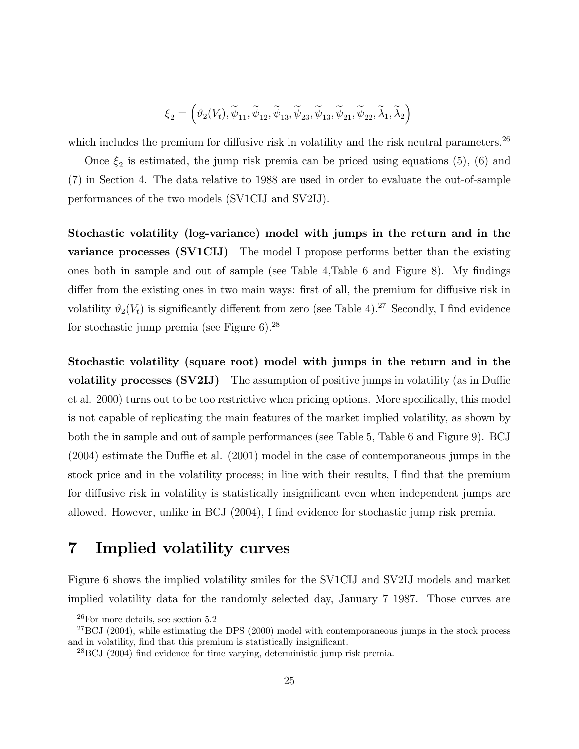$$
\xi_2=\left(\vartheta_2(V_t),\widetilde{\psi}_{11},\widetilde{\psi}_{12},\widetilde{\psi}_{13},\widetilde{\psi}_{23},\widetilde{\psi}_{13},\widetilde{\psi}_{21},\widetilde{\psi}_{22},\widetilde{\lambda}_1,\widetilde{\lambda}_2\right)
$$

which includes the premium for diffusive risk in volatility and the risk neutral parameters.<sup>26</sup>

Once  $\xi_2$  is estimated, the jump risk premia can be priced using equations (5), (6) and (7) in Section 4. The data relative to 1988 are used in order to evaluate the out-of-sample performances of the two models (SV1CIJ and SV2IJ).

Stochastic volatility (log-variance) model with jumps in the return and in the variance processes (SV1CIJ) The model I propose performs better than the existing ones both in sample and out of sample (see Table 4,Table 6 and Figure 8). My findings differ from the existing ones in two main ways: first of all, the premium for diffusive risk in volatility  $\vartheta_2(V_t)$  is significantly different from zero (see Table 4).<sup>27</sup> Secondly, I find evidence for stochastic jump premia (see Figure 6).<sup>28</sup>

Stochastic volatility (square root) model with jumps in the return and in the volatility processes (SV2IJ) The assumption of positive jumps in volatility (as in Duffie et al. 2000) turns out to be too restrictive when pricing options. More specifically, this model is not capable of replicating the main features of the market implied volatility, as shown by both the in sample and out of sample performances (see Table 5, Table 6 and Figure 9). BCJ (2004) estimate the Duffie et al. (2001) model in the case of contemporaneous jumps in the stock price and in the volatility process; in line with their results, I find that the premium for diffusive risk in volatility is statistically insignificant even when independent jumps are allowed. However, unlike in BCJ (2004), I find evidence for stochastic jump risk premia.

## 7 Implied volatility curves

Figure 6 shows the implied volatility smiles for the SV1CIJ and SV2IJ models and market implied volatility data for the randomly selected day, January 7 1987. Those curves are

 $26$ For more details, see section  $5.2$ 

 $^{27}$ BCJ (2004), while estimating the DPS (2000) model with contemporaneous jumps in the stock process and in volatility, find that this premium is statistically insignificant.

 $^{28}$ BCJ (2004) find evidence for time varying, deterministic jump risk premia.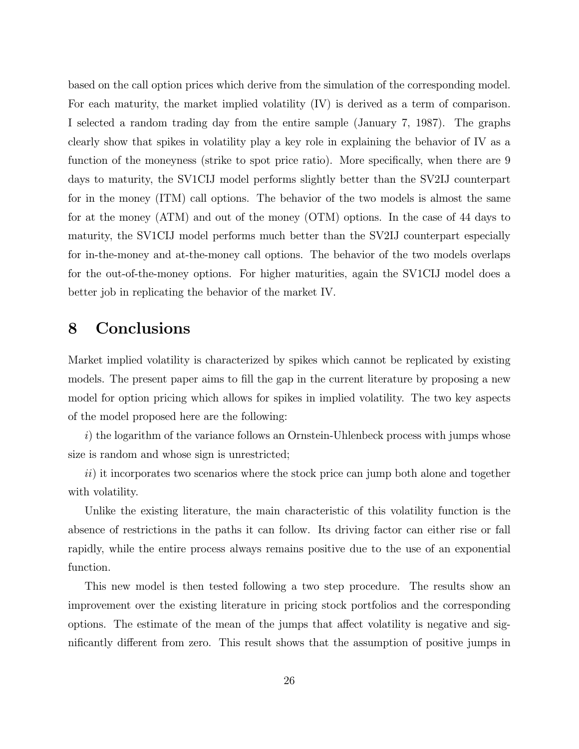based on the call option prices which derive from the simulation of the corresponding model. For each maturity, the market implied volatility (IV) is derived as a term of comparison. I selected a random trading day from the entire sample (January 7, 1987). The graphs clearly show that spikes in volatility play a key role in explaining the behavior of IV as a function of the moneyness (strike to spot price ratio). More specifically, when there are 9 days to maturity, the SV1CIJ model performs slightly better than the SV2IJ counterpart for in the money (ITM) call options. The behavior of the two models is almost the same for at the money (ATM) and out of the money (OTM) options. In the case of 44 days to maturity, the SV1CIJ model performs much better than the SV2IJ counterpart especially for in-the-money and at-the-money call options. The behavior of the two models overlaps for the out-of-the-money options. For higher maturities, again the SV1CIJ model does a better job in replicating the behavior of the market IV.

## 8 Conclusions

Market implied volatility is characterized by spikes which cannot be replicated by existing models. The present paper aims to fill the gap in the current literature by proposing a new model for option pricing which allows for spikes in implied volatility. The two key aspects of the model proposed here are the following:

i) the logarithm of the variance follows an Ornstein-Uhlenbeck process with jumps whose size is random and whose sign is unrestricted;

 $ii)$  it incorporates two scenarios where the stock price can jump both alone and together with volatility.

Unlike the existing literature, the main characteristic of this volatility function is the absence of restrictions in the paths it can follow. Its driving factor can either rise or fall rapidly, while the entire process always remains positive due to the use of an exponential function.

This new model is then tested following a two step procedure. The results show an improvement over the existing literature in pricing stock portfolios and the corresponding options. The estimate of the mean of the jumps that affect volatility is negative and significantly different from zero. This result shows that the assumption of positive jumps in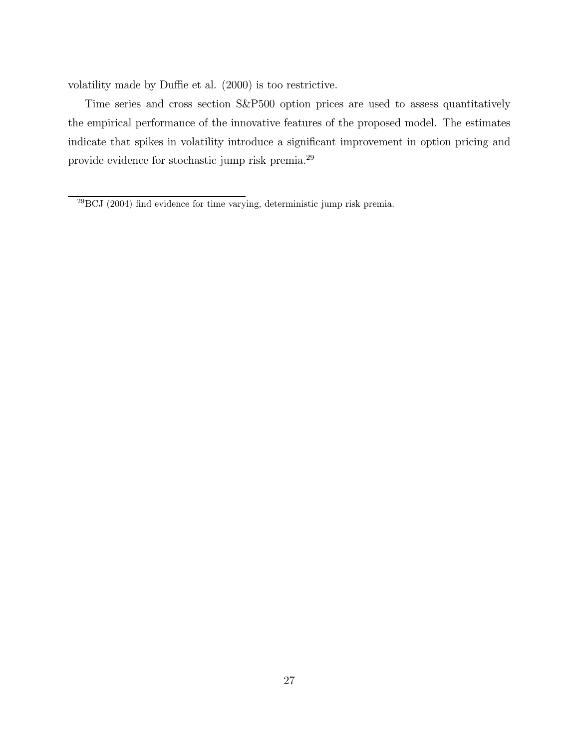volatility made by Duffie et al. (2000) is too restrictive.

Time series and cross section S&P500 option prices are used to assess quantitatively the empirical performance of the innovative features of the proposed model. The estimates indicate that spikes in volatility introduce a significant improvement in option pricing and provide evidence for stochastic jump risk premia.<sup>29</sup>

<sup>29</sup>BCJ (2004) find evidence for time varying, deterministic jump risk premia.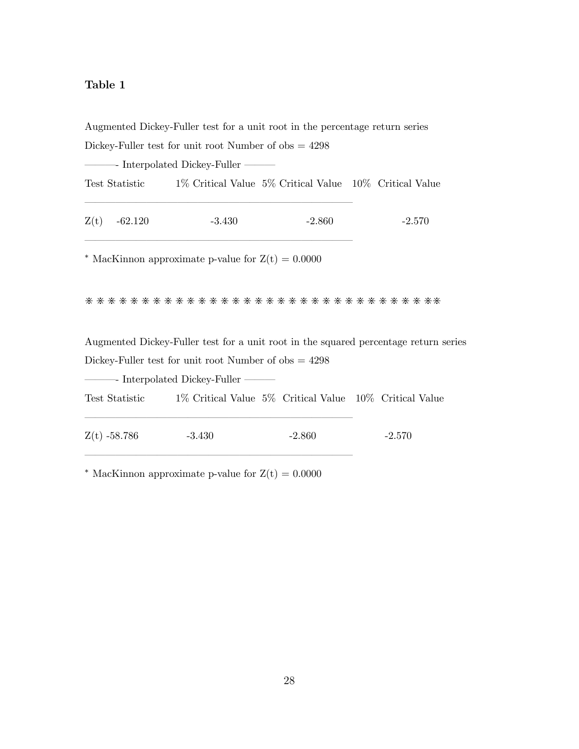### Table 1

Augmented Dickey-Fuller test for a unit root in the percentage return series Dickey-Fuller test for unit root Number of  $obs = 4298$ –––- Interpolated Dickey-Fuller ––– Test Statistic 1% Critical Value 5% Critical Value 10% Critical Value ––––––––––––––––––––––––––  $Z(t)$  -62.120 -3.430 -2.860 -2.570 –––––––––––––––––––––––––– *\** MacKinnon approximate p-value for  $Z(t) = 0.0000$ \*\*\*\*\*\*\*\*\*\*\*\*\*\*\*\*\*\*\*\*\*\*\*\*\*\*\*\*\*\*\*\* Augmented Dickey-Fuller test for a unit root in the squared percentage return series Dickey-Fuller test for unit root Number of  $obs = 4298$ –––- Interpolated Dickey-Fuller ––– Test Statistic 1% Critical Value 5% Critical Value 10% Critical Value ––––––––––––––––––––––––––  $Z(t)$  -58.786 -3.430 -2.860 -2.570 ––––––––––––––––––––––––––

<sup>\*</sup> MacKinnon approximate p-value for  $Z(t) = 0.0000$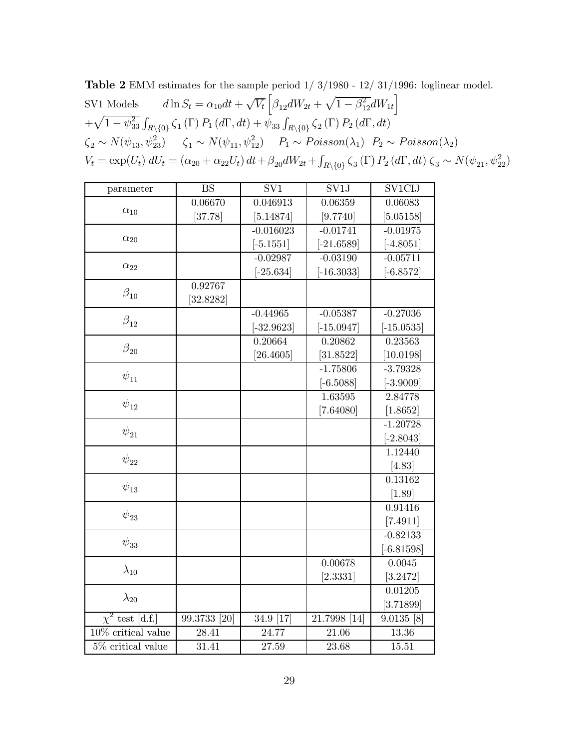**Table 2** EMM estimates for the sample period  $1/3/1980 - 12/31/1996$ : loglinear model. SV1 Models  $d \ln S_t = \alpha_{10} dt + \sqrt{V_t} \left[ \beta_{12} dW_{2t} + \sqrt{1 - \beta_{12}^2} dW_{1t} \right]$  $+\sqrt{1-\psi_{33}^2}\int_{R\setminus\{0\}}\zeta_1(\Gamma)\,P_1(d\Gamma,dt)+\psi_{33}\int_{R\setminus\{0\}}\zeta_2(\Gamma)\,P_2(d\Gamma,dt)$  $\zeta_2 \sim N(\psi_{13}, \psi_{23}^2)$   $\zeta_1 \sim N(\psi_{11}, \psi_{12}^2)$   $P_1 \sim Poisson(\lambda_1)$   $P_2 \sim Poisson(\lambda_2)$  $V_t = \exp(U_t) dU_t = (\alpha_{20} + \alpha_{22}U_t) dt + \beta_{20} dW_{2t} + \int_{R \setminus \{0\}} \zeta_3(\Gamma) P_2(d\Gamma, dt) \zeta_3 \sim N(\psi_{21}, \psi_{22}^2)$ 

| parameter             | <b>BS</b>    | SV1          | SV1J         | SV1CIJ       |
|-----------------------|--------------|--------------|--------------|--------------|
|                       | 0.06670      | 0.046913     | 0.06359      | 0.06083      |
| $\alpha_{10}$         | [37.78]      | [5.14874]    | [9.7740]     | [5.05158]    |
|                       |              | $-0.016023$  | $-0.01741$   | $-0.01975$   |
| $\alpha_{20}$         |              | $[-5.1551]$  | $[-21.6589]$ | $[-4.8051]$  |
|                       |              | $-0.02987$   | $-0.03190$   | $-0.05711$   |
| $\alpha_{22}$         |              | $[-25.634]$  | $[-16.3033]$ | $[-6.8572]$  |
|                       | 0.92767      |              |              |              |
| $\beta_{10}$          | [32.8282]    |              |              |              |
|                       |              | $-0.44965$   | $-0.05387$   | $-0.27036$   |
| $\beta_{12}$          |              | $[-32.9623]$ | $[-15.0947]$ | $[-15.0535]$ |
| $\beta_{20}$          |              | 0.20664      | 0.20862      | 0.23563      |
|                       |              | [26.4605]    | [31.8522]    | [10.0198]    |
| $\psi_{11}$           |              |              | $-1.75806$   | $-3.79328$   |
|                       |              |              | $[-6.5088]$  | $[-3.9009]$  |
| $\psi_{12}$           |              |              | 1.63595      | 2.84778      |
|                       |              |              | [7.64080]    | [1.8652]     |
| $\psi_{21}$           |              |              |              | $-1.20728$   |
|                       |              |              |              | $[-2.8043]$  |
| $\psi_{22}$           |              |              |              | 1.12440      |
|                       |              |              |              | [4.83]       |
| $\psi_{13}$           |              |              |              | 0.13162      |
|                       |              |              |              | $[1.89]$     |
| $\psi_{23}$           |              |              |              | 0.91416      |
|                       |              |              |              | [7.4911]     |
| $\psi_{33}$           |              |              |              | $-0.82133$   |
|                       |              |              |              | $[-6.81598]$ |
| $\lambda_{10}$        |              |              | 0.00678      | 0.0045       |
|                       |              |              | [2.3331]     | [3.2472]     |
| $\lambda_{20}$        |              |              |              | 0.01205      |
|                       |              |              |              | [3.71899]    |
| $\chi^2$ test [d.f.]  | 99.3733 [20] | 34.9 [17]    | 21.7998 [14] | $9.0135$ [8] |
| $10\%$ critical value | 28.41        | 24.77        | 21.06        | 13.36        |
| 5% critical value     | 31.41        | 27.59        | 23.68        | 15.51        |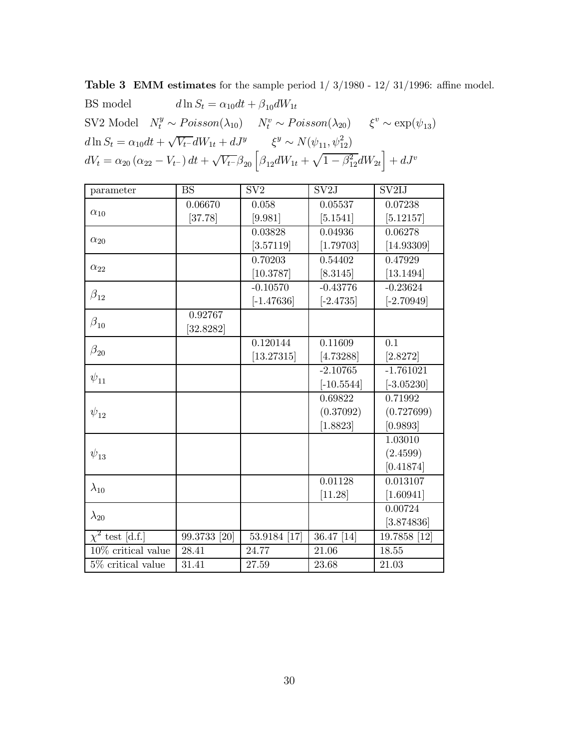Table 3 EMM estimates for the sample period  $1/3/1980$  -  $12/31/1996$ : affine model.

| BS model $d \ln S_t = \alpha_{10} dt + \beta_{10} dW_{1t}$                                   |                                                                                                                                                      |  |
|----------------------------------------------------------------------------------------------|------------------------------------------------------------------------------------------------------------------------------------------------------|--|
|                                                                                              | SV2 Model $N_t^y \sim Poisson(\lambda_{10})$ $N_t^v \sim Poisson(\lambda_{20})$ $\xi^v \sim \exp(\psi_{13})$                                         |  |
| $d\ln S_t = \alpha_{10}dt + \sqrt{V_t}dW_{1t} + dJ^y$ $\xi^y \sim N(\psi_{11}, \psi_{12}^2)$ |                                                                                                                                                      |  |
|                                                                                              | $dV_t = \alpha_{20} (\alpha_{22} - V_{t^-}) dt + \sqrt{V_{t^-}} \beta_{20} \left[ \beta_{12} dW_{1t} + \sqrt{1-\beta_{12}^2} dW_{2t} \right] + dJ^v$ |  |

| parameter                        | <b>BS</b>    | SV <sub>2</sub> | SV2J         | SV <sub>2IJ</sub> |
|----------------------------------|--------------|-----------------|--------------|-------------------|
|                                  | 0.06670      | 0.058           | 0.05537      | 0.07238           |
| $\alpha_{10}$                    | [37.78]      | [9.981]         | [5.1541]     | [5.12157]         |
|                                  |              | 0.03828         | 0.04936      | 0.06278           |
| $\alpha_{20}$                    |              | [3.57119]       | [1.79703]    | [14.93309]        |
|                                  |              | 0.70203         | 0.54402      | 0.47929           |
| $\alpha_{22}$                    |              | [10.3787]       | [8.3145]     | [13.1494]         |
|                                  |              | $-0.10570$      | $-0.43776$   | $-0.23624$        |
| $\beta_{12}$                     |              | $[-1.47636]$    | $[-2.4735]$  | $[-2.70949]$      |
|                                  | 0.92767      |                 |              |                   |
| $\beta_{10}$                     | 32.8282      |                 |              |                   |
|                                  |              | 0.120144        | 0.11609      | 0.1               |
| $\beta_{20}$                     |              | [13.27315]      | [4.73288]    | [2.8272]          |
|                                  |              |                 | $-2.10765$   | $-1.761021$       |
| $\psi_{11}$                      |              |                 | $[-10.5544]$ | $[-3.05230]$      |
|                                  |              |                 | 0.69822      | 0.71992           |
| $\psi_{12}$                      |              |                 | (0.37092)    | (0.727699)        |
|                                  |              |                 | [1.8823]     | [0.9893]          |
|                                  |              |                 |              | 1.03010           |
| $\psi_{13}$                      |              |                 |              | (2.4599)          |
|                                  |              |                 |              | [0.41874]         |
|                                  |              |                 | 0.01128      | 0.013107          |
| $\lambda_{10}$                   |              |                 | [11.28]      | [1.60941]         |
|                                  |              |                 |              | 0.00724           |
| $\lambda_{20}$                   |              |                 |              | [3.874836]        |
| $\chi^2$ test [d.f.]             | 99.3733 [20] | 53.9184 [17]    | 36.47 [14]   | 19.7858 [12]      |
| $\overline{10\%}$ critical value | 28.41        | 24.77           | 21.06        | 18.55             |
| 5% critical value                | 31.41        | 27.59           | 23.68        | 21.03             |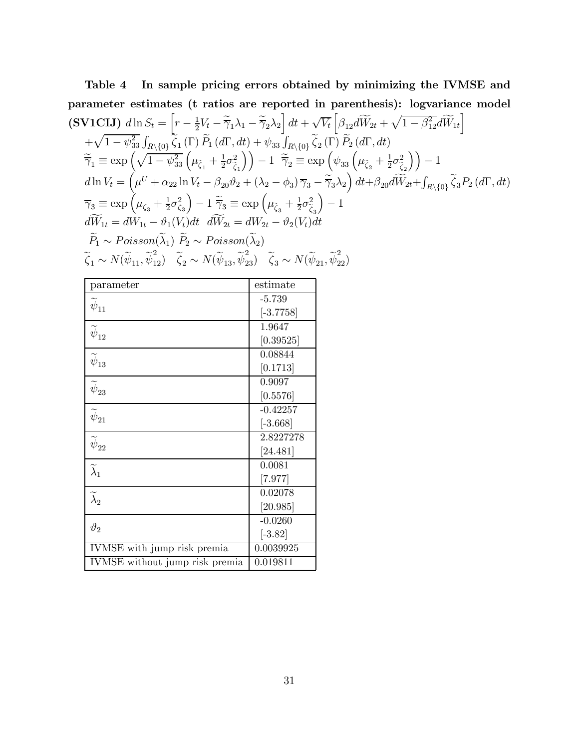Table 4 In sample pricing errors obtained by minimizing the IVMSE and parameter estimates (t ratios are reported in parentheses): logvariance model  
\n(SVICIJ) 
$$
d \ln S_t = \left[ r - \frac{1}{2}V_t - \tilde{\overline{\gamma}}_1 \lambda_1 - \tilde{\overline{\gamma}}_2 \lambda_2 \right] dt + \sqrt{V_t} \left[ \beta_{12} d\widetilde{W}_{2t} + \sqrt{1 - \beta_{12}^2} d\widetilde{W}_{1t} \right]
$$
  
\n $+ \sqrt{1 - \psi_{33}^2} \int_{R \setminus \{0\}} \zeta_1(\Gamma) \widetilde{P}_1(d\Gamma, dt) + \psi_{33} \int_{R \setminus \{0\}} \widetilde{\zeta}_2(\Gamma) \widetilde{P}_2(d\Gamma, dt)$   
\n $\widetilde{\overline{\gamma}}_1 \equiv \exp \left( \sqrt{1 - \psi_{33}^2} \left( \mu_{\zeta_1} + \frac{1}{2} \sigma_{\zeta_1}^2 \right) \right) - 1 \widetilde{\overline{\gamma}}_2 \equiv \exp \left( \psi_{33} \left( \mu_{\zeta_2} + \frac{1}{2} \sigma_{\zeta_2}^2 \right) \right) - 1$   
\n $d \ln V_t = \left( \mu^U + \alpha_{22} \ln V_t - \beta_{20} \vartheta_2 + (\lambda_2 - \phi_3) \overline{\gamma}_3 - \widetilde{\overline{\gamma}}_3 \lambda_2 \right) dt + \beta_{20} d\widetilde{W}_{2t} + \int_{R \setminus \{0\}} \widetilde{\zeta}_3 P_2(d\Gamma, dt)$   
\n $\overline{\gamma}_3 \equiv \exp \left( \mu_{\zeta_3} + \frac{1}{2} \sigma_{\zeta_3}^2 \right) - 1 \widetilde{\overline{\gamma}}_3 \equiv \exp \left( \mu_{\zeta_3} + \frac{1}{2} \sigma_{\zeta_3}^2 \right) - 1$   
\n $d\widetilde{W}_{1t} = dW_{1t} - \vartheta_1(V_t) dt \ d\widetilde{W}_{2t} = dW_{2t} - \vartheta_2(V_t) dt$   
\n $\widetilde{P}_1 \sim Poisson(\widetilde{\lambda}_1) \widetilde{P}_2 \sim Poisson(\widetilde{\lambda}_2)$   
\n $\widetilde{\z$ 

| parameter                            | estimate              |
|--------------------------------------|-----------------------|
| $\psi_{11}$                          | $-5.739$              |
|                                      | $[-3.7758]$           |
| $\widetilde{\boldsymbol{\psi}}_{12}$ | 1.9647                |
|                                      | [0.39525]             |
| $\widetilde{\boldsymbol{\psi}}_{13}$ | 0.08844               |
|                                      | [0.1713]              |
| $\widetilde{\boldsymbol{\psi}}_{23}$ | 0.9097                |
|                                      | [0.5576]              |
| $\widetilde{\boldsymbol{\psi}}_{21}$ | $-0.42257$            |
|                                      | $[-3.668]$            |
| $\widetilde{\psi}_{22}$              | 2.8227278             |
|                                      | [24.481]              |
| $\widetilde{\lambda}_1$              | 0.0081                |
|                                      | $[7.977]$             |
| $\widetilde{\lambda}_2$              | 0.02078               |
|                                      | $\left[20.985\right]$ |
| $\vartheta_2$                        | $-0.0260$             |
|                                      | $[-3.82]$             |
| IVMSE with jump risk premia          | 0.0039925             |
| IVMSE without jump risk premia       | 0.019811              |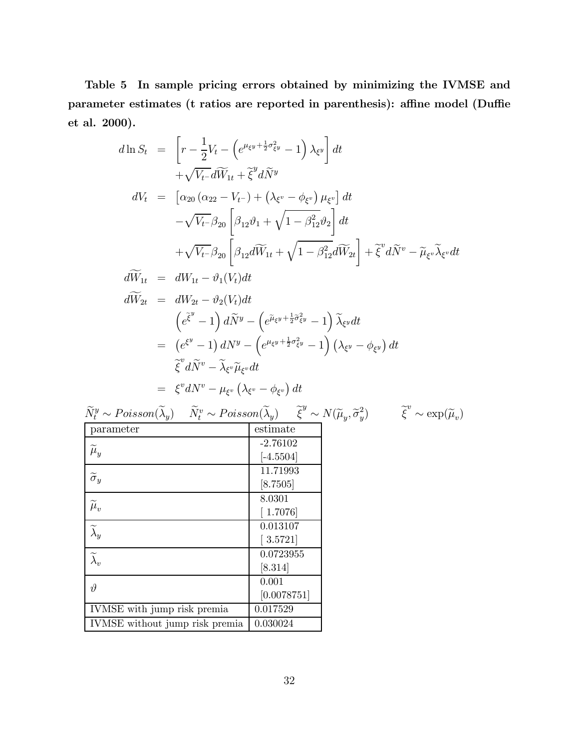Table 5 In sample pricing errors obtained by minimizing the IVMSE and parameter estimates (t ratios are reported in parenthesis): affine model (Duffie et al. 2000).

$$
d\ln S_t = \left[ r - \frac{1}{2}V_t - \left( e^{\mu_{\xi}y + \frac{1}{2}\sigma_{\xi}^2y} - 1 \right) \lambda_{\xi}y \right] dt + \sqrt{V_t - d\widetilde{W}_{1t} + \widetilde{\xi}^y d\widetilde{N}^y} dV_t = \left[ \alpha_{20} \left( \alpha_{22} - V_{t-} \right) + \left( \lambda_{\xi^v} - \phi_{\xi^v} \right) \mu_{\xi^v} \right] dt - \sqrt{V_t - \beta_{20}} \left[ \beta_{12} \vartheta_1 + \sqrt{1 - \beta_{12}^2} \vartheta_2 \right] dt + \sqrt{V_t - \beta_{20}} \left[ \beta_{12} d\widetilde{W}_{1t} + \sqrt{1 - \beta_{12}^2} d\widetilde{W}_{2t} \right] + \widetilde{\xi}^v d\widetilde{N}^v - \widetilde{\mu}_{\xi^v} \widetilde{\lambda}_{\xi^v} dt d\widetilde{W}_{1t} = dW_{1t} - \vartheta_1 (V_t) dt d\widetilde{W}_{2t} = dW_{2t} - \vartheta_2 (V_t) dt = \left( e^{\widetilde{\xi}^y} - 1 \right) d\widetilde{N}^y - \left( e^{\widetilde{\mu}_{\xi^y} + \frac{1}{2}\widetilde{\sigma}_{\xi^y}^2} - 1 \right) \widetilde{\lambda}_{\xi^y} dt = \left( e^{\xi^y} - 1 \right) dN^y - \left( e^{\mu_{\xi^y} + \frac{1}{2}\sigma_{\xi^v}^2} - 1 \right) \left( \lambda_{\xi^y} - \phi_{\xi^y} \right) dt \n\widetilde{\xi}^v d\widetilde{N}^v - \widetilde{\lambda}_{\xi^v} \widetilde{\mu}_{\xi^v} dt = \xi^v dN^v - \mu_{\xi^v} \left( \lambda_{\xi^v} - \phi_{\xi^v} \right) dt
$$

$$
\widetilde{N}_t^y \sim Poisson(\widetilde{\lambda}_y) \quad \widetilde{N}_t^v \sim Poisson(\widetilde{\lambda}_y) \quad \widetilde{\xi}^y \sim N(\widetilde{\mu}_y, \widetilde{\sigma}_y^2) \qquad \widetilde{\xi}^v \sim \exp(\widetilde{\mu}_v)
$$

| parameter                      | estimate                   |
|--------------------------------|----------------------------|
|                                | $-2.76102$                 |
| $\widetilde{\mu}_y$            | $[-4.5504]$                |
| $\widetilde{\sigma}_y$         | 11.71993                   |
|                                | [8.7505]                   |
|                                | 8.0301                     |
| $\widetilde{\mu}_{v}$          | [1.7076]                   |
| $\widetilde{\lambda}_y$        | 0.013107                   |
|                                | $\left[ \, 3.5721 \right]$ |
| $\widetilde{\lambda}_v$        | 0.0723955                  |
|                                | [8.314]                    |
| $\vartheta$                    | 0.001                      |
|                                | [0.0078751]                |
| IVMSE with jump risk premia    | 0.017529                   |
| IVMSE without jump risk premia | 0.030024                   |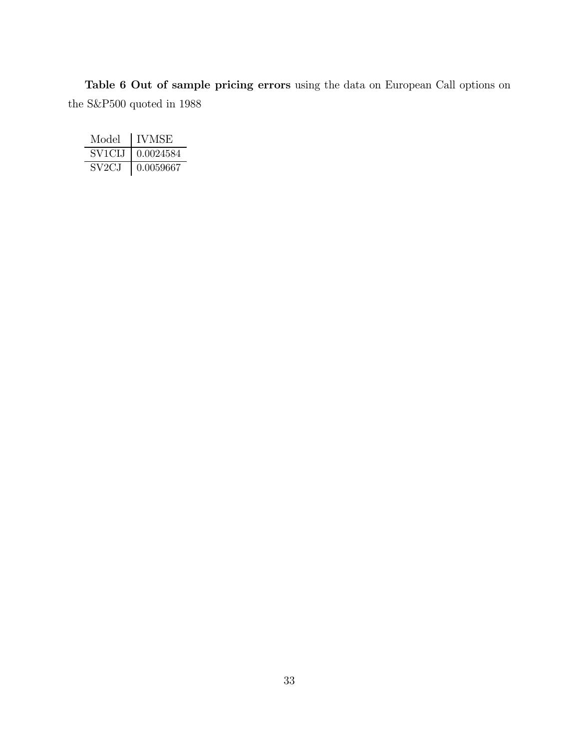Table 6 Out of sample pricing errors using the data on European Call options on the S&P500 quoted in 1988

| Model  | <b>IVMSE</b> |
|--------|--------------|
| SV1CLJ | 0.0024584    |
| SV2C.I | 0.0059667    |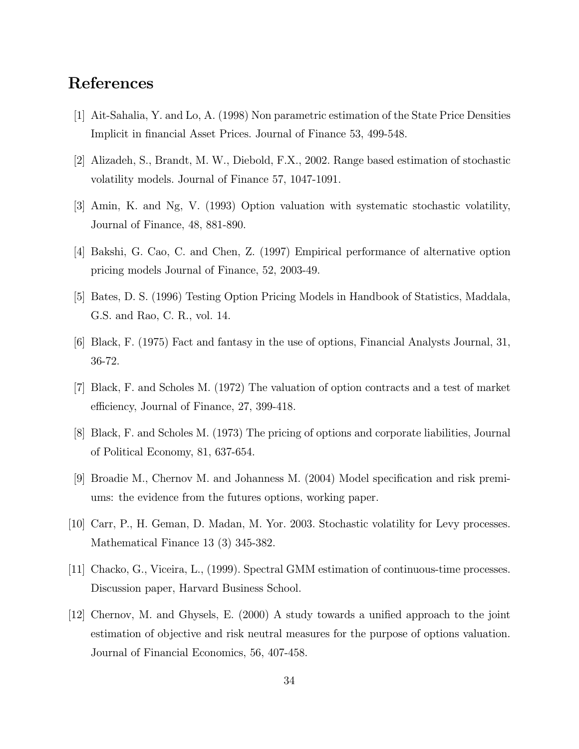## References

- [1] Ait-Sahalia, Y. and Lo, A. (1998) Non parametric estimation of the State Price Densities Implicit in financial Asset Prices. Journal of Finance 53, 499-548.
- [2] Alizadeh, S., Brandt, M. W., Diebold, F.X., 2002. Range based estimation of stochastic volatility models. Journal of Finance 57, 1047-1091.
- [3] Amin, K. and Ng, V. (1993) Option valuation with systematic stochastic volatility, Journal of Finance, 48, 881-890.
- [4] Bakshi, G. Cao, C. and Chen, Z. (1997) Empirical performance of alternative option pricing models Journal of Finance, 52, 2003-49.
- [5] Bates, D. S. (1996) Testing Option Pricing Models in Handbook of Statistics, Maddala, G.S. and Rao, C. R., vol. 14.
- [6] Black, F. (1975) Fact and fantasy in the use of options, Financial Analysts Journal, 31, 36-72.
- [7] Black, F. and Scholes M. (1972) The valuation of option contracts and a test of market efficiency, Journal of Finance, 27, 399-418.
- [8] Black, F. and Scholes M. (1973) The pricing of options and corporate liabilities, Journal of Political Economy, 81, 637-654.
- [9] Broadie M., Chernov M. and Johanness M. (2004) Model specification and risk premiums: the evidence from the futures options, working paper.
- [10] Carr, P., H. Geman, D. Madan, M. Yor. 2003. Stochastic volatility for Levy processes. Mathematical Finance 13 (3) 345-382.
- [11] Chacko, G., Viceira, L., (1999). Spectral GMM estimation of continuous-time processes. Discussion paper, Harvard Business School.
- [12] Chernov, M. and Ghysels, E. (2000) A study towards a unified approach to the joint estimation of objective and risk neutral measures for the purpose of options valuation. Journal of Financial Economics, 56, 407-458.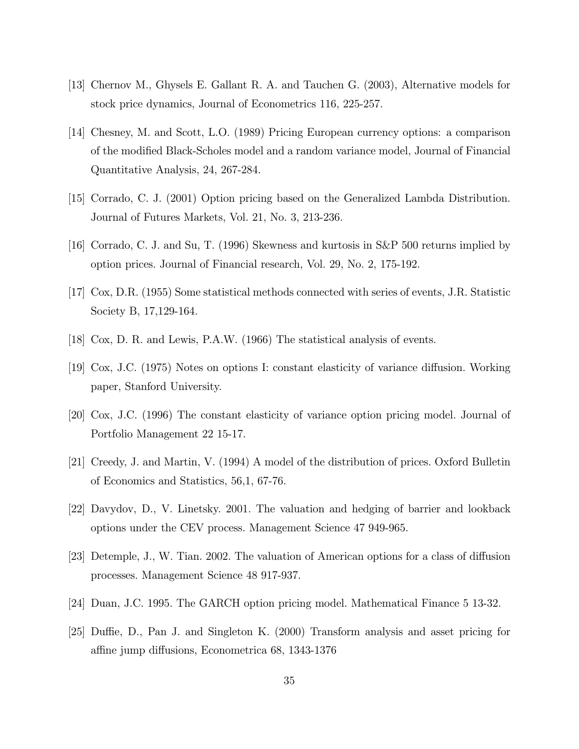- [13] Chernov M., Ghysels E. Gallant R. A. and Tauchen G. (2003), Alternative models for stock price dynamics, Journal of Econometrics 116, 225-257.
- [14] Chesney, M. and Scott, L.O. (1989) Pricing European currency options: a comparison of the modified Black-Scholes model and a random variance model, Journal of Financial Quantitative Analysis, 24, 267-284.
- [15] Corrado, C. J. (2001) Option pricing based on the Generalized Lambda Distribution. Journal of Futures Markets, Vol. 21, No. 3, 213-236.
- [16] Corrado, C. J. and Su, T. (1996) Skewness and kurtosis in S&P 500 returns implied by option prices. Journal of Financial research, Vol. 29, No. 2, 175-192.
- [17] Cox, D.R. (1955) Some statistical methods connected with series of events, J.R. Statistic Society B, 17,129-164.
- [18] Cox, D. R. and Lewis, P.A.W. (1966) The statistical analysis of events.
- [19] Cox, J.C. (1975) Notes on options I: constant elasticity of variance diffusion. Working paper, Stanford University.
- [20] Cox, J.C. (1996) The constant elasticity of variance option pricing model. Journal of Portfolio Management 22 15-17.
- [21] Creedy, J. and Martin, V. (1994) A model of the distribution of prices. Oxford Bulletin of Economics and Statistics, 56,1, 67-76.
- [22] Davydov, D., V. Linetsky. 2001. The valuation and hedging of barrier and lookback options under the CEV process. Management Science 47 949-965.
- [23] Detemple, J., W. Tian. 2002. The valuation of American options for a class of diffusion processes. Management Science 48 917-937.
- [24] Duan, J.C. 1995. The GARCH option pricing model. Mathematical Finance 5 13-32.
- [25] Duffie, D., Pan J. and Singleton K. (2000) Transform analysis and asset pricing for affine jump diffusions, Econometrica 68, 1343-1376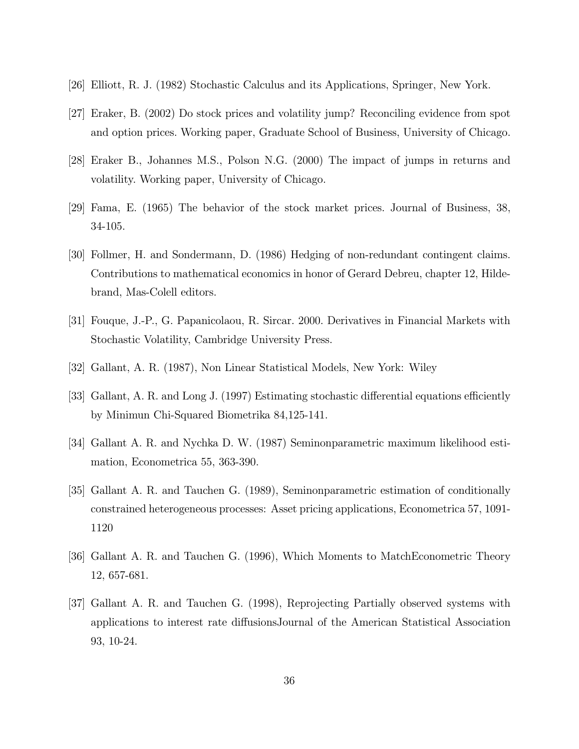- [26] Elliott, R. J. (1982) Stochastic Calculus and its Applications, Springer, New York.
- [27] Eraker, B. (2002) Do stock prices and volatility jump? Reconciling evidence from spot and option prices. Working paper, Graduate School of Business, University of Chicago.
- [28] Eraker B., Johannes M.S., Polson N.G. (2000) The impact of jumps in returns and volatility. Working paper, University of Chicago.
- [29] Fama, E. (1965) The behavior of the stock market prices. Journal of Business, 38, 34-105.
- [30] Follmer, H. and Sondermann, D. (1986) Hedging of non-redundant contingent claims. Contributions to mathematical economics in honor of Gerard Debreu, chapter 12, Hildebrand, Mas-Colell editors.
- [31] Fouque, J.-P., G. Papanicolaou, R. Sircar. 2000. Derivatives in Financial Markets with Stochastic Volatility, Cambridge University Press.
- [32] Gallant, A. R. (1987), Non Linear Statistical Models, New York: Wiley
- [33] Gallant, A. R. and Long J. (1997) Estimating stochastic differential equations efficiently by Minimun Chi-Squared Biometrika 84,125-141.
- [34] Gallant A. R. and Nychka D. W. (1987) Seminonparametric maximum likelihood estimation, Econometrica 55, 363-390.
- [35] Gallant A. R. and Tauchen G. (1989), Seminonparametric estimation of conditionally constrained heterogeneous processes: Asset pricing applications, Econometrica 57, 1091- 1120
- [36] Gallant A. R. and Tauchen G. (1996), Which Moments to MatchEconometric Theory 12, 657-681.
- [37] Gallant A. R. and Tauchen G. (1998), Reprojecting Partially observed systems with applications to interest rate diffusionsJournal of the American Statistical Association 93, 10-24.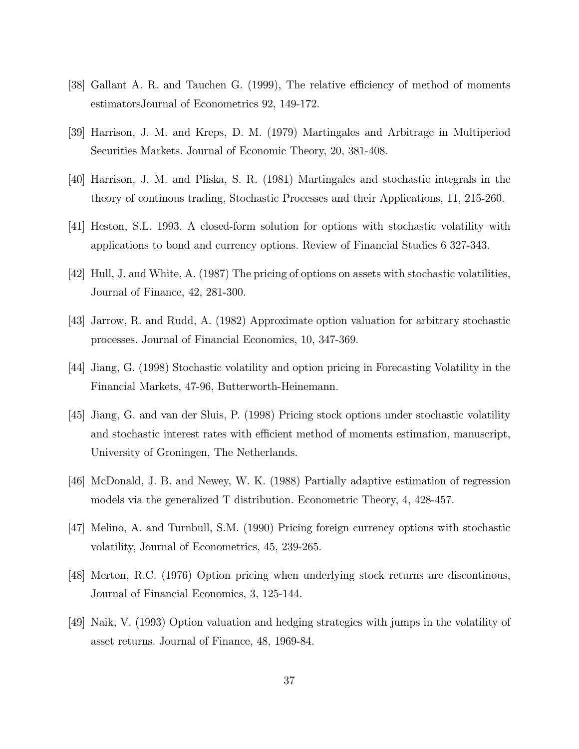- [38] Gallant A. R. and Tauchen G. (1999), The relative efficiency of method of moments estimatorsJournal of Econometrics 92, 149-172.
- [39] Harrison, J. M. and Kreps, D. M. (1979) Martingales and Arbitrage in Multiperiod Securities Markets. Journal of Economic Theory, 20, 381-408.
- [40] Harrison, J. M. and Pliska, S. R. (1981) Martingales and stochastic integrals in the theory of continous trading, Stochastic Processes and their Applications, 11, 215-260.
- [41] Heston, S.L. 1993. A closed-form solution for options with stochastic volatility with applications to bond and currency options. Review of Financial Studies 6 327-343.
- [42] Hull, J. and White, A. (1987) The pricing of options on assets with stochastic volatilities, Journal of Finance, 42, 281-300.
- [43] Jarrow, R. and Rudd, A. (1982) Approximate option valuation for arbitrary stochastic processes. Journal of Financial Economics, 10, 347-369.
- [44] Jiang, G. (1998) Stochastic volatility and option pricing in Forecasting Volatility in the Financial Markets, 47-96, Butterworth-Heinemann.
- [45] Jiang, G. and van der Sluis, P. (1998) Pricing stock options under stochastic volatility and stochastic interest rates with efficient method of moments estimation, manuscript, University of Groningen, The Netherlands.
- [46] McDonald, J. B. and Newey, W. K. (1988) Partially adaptive estimation of regression models via the generalized T distribution. Econometric Theory, 4, 428-457.
- [47] Melino, A. and Turnbull, S.M. (1990) Pricing foreign currency options with stochastic volatility, Journal of Econometrics, 45, 239-265.
- [48] Merton, R.C. (1976) Option pricing when underlying stock returns are discontinous, Journal of Financial Economics, 3, 125-144.
- [49] Naik, V. (1993) Option valuation and hedging strategies with jumps in the volatility of asset returns. Journal of Finance, 48, 1969-84.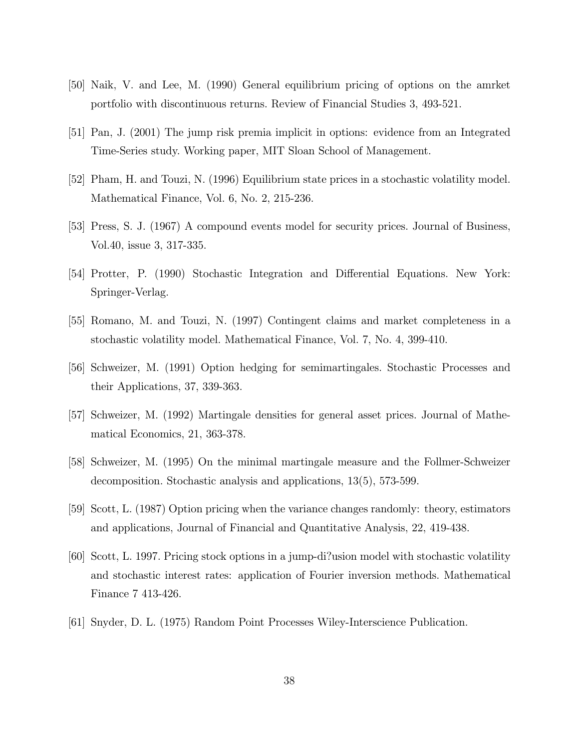- [50] Naik, V. and Lee, M. (1990) General equilibrium pricing of options on the amrket portfolio with discontinuous returns. Review of Financial Studies 3, 493-521.
- [51] Pan, J. (2001) The jump risk premia implicit in options: evidence from an Integrated Time-Series study. Working paper, MIT Sloan School of Management.
- [52] Pham, H. and Touzi, N. (1996) Equilibrium state prices in a stochastic volatility model. Mathematical Finance, Vol. 6, No. 2, 215-236.
- [53] Press, S. J. (1967) A compound events model for security prices. Journal of Business, Vol.40, issue 3, 317-335.
- [54] Protter, P. (1990) Stochastic Integration and Differential Equations. New York: Springer-Verlag.
- [55] Romano, M. and Touzi, N. (1997) Contingent claims and market completeness in a stochastic volatility model. Mathematical Finance, Vol. 7, No. 4, 399-410.
- [56] Schweizer, M. (1991) Option hedging for semimartingales. Stochastic Processes and their Applications, 37, 339-363.
- [57] Schweizer, M. (1992) Martingale densities for general asset prices. Journal of Mathematical Economics, 21, 363-378.
- [58] Schweizer, M. (1995) On the minimal martingale measure and the Follmer-Schweizer decomposition. Stochastic analysis and applications, 13(5), 573-599.
- [59] Scott, L. (1987) Option pricing when the variance changes randomly: theory, estimators and applications, Journal of Financial and Quantitative Analysis, 22, 419-438.
- [60] Scott, L. 1997. Pricing stock options in a jump-di?usion model with stochastic volatility and stochastic interest rates: application of Fourier inversion methods. Mathematical Finance 7 413-426.
- [61] Snyder, D. L. (1975) Random Point Processes Wiley-Interscience Publication.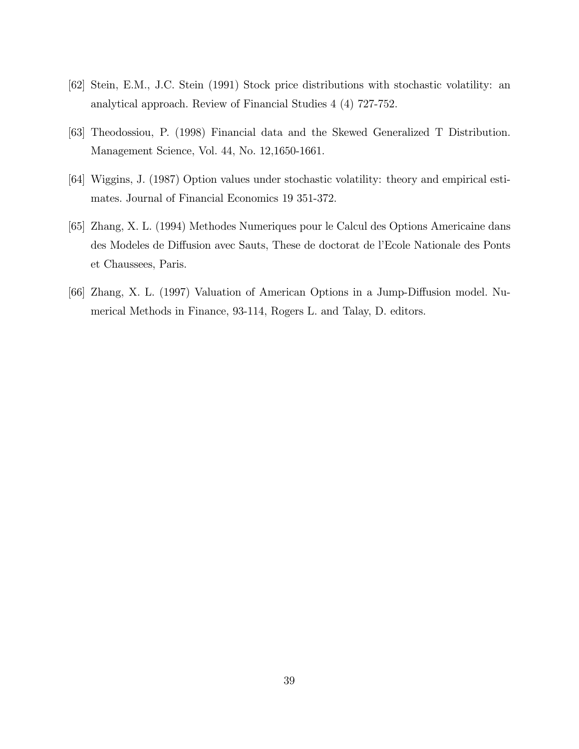- [62] Stein, E.M., J.C. Stein (1991) Stock price distributions with stochastic volatility: an analytical approach. Review of Financial Studies 4 (4) 727-752.
- [63] Theodossiou, P. (1998) Financial data and the Skewed Generalized T Distribution. Management Science, Vol. 44, No. 12,1650-1661.
- [64] Wiggins, J. (1987) Option values under stochastic volatility: theory and empirical estimates. Journal of Financial Economics 19 351-372.
- [65] Zhang, X. L. (1994) Methodes Numeriques pour le Calcul des Options Americaine dans des Modeles de Diffusion avec Sauts, These de doctorat de l'Ecole Nationale des Ponts et Chaussees, Paris.
- [66] Zhang, X. L. (1997) Valuation of American Options in a Jump-Diffusion model. Numerical Methods in Finance, 93-114, Rogers L. and Talay, D. editors.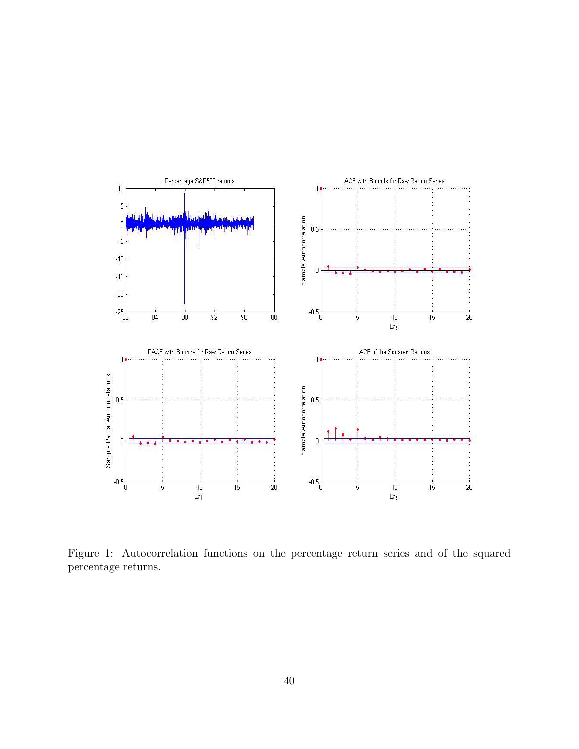

Figure 1: Autocorrelation functions on the percentage return series and of the squared percentage returns.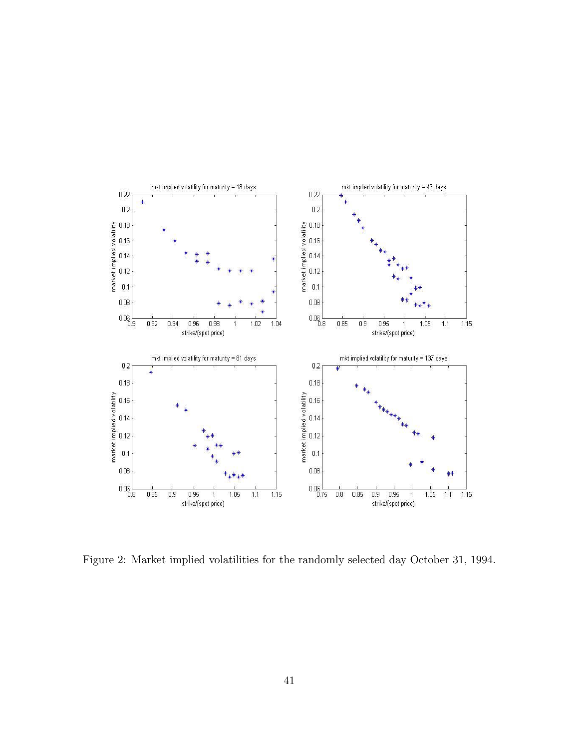

Figure 2: Market implied volatilities for the randomly selected day October 31, 1994.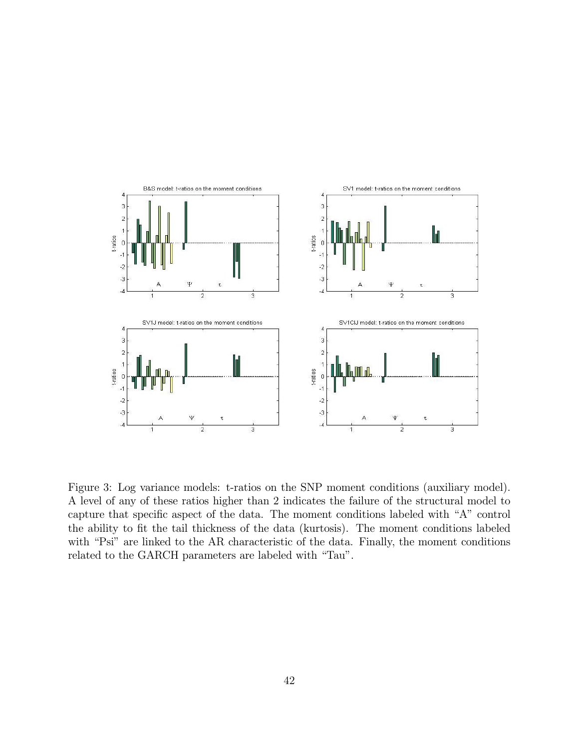

Figure 3: Log variance models: t-ratios on the SNP moment conditions (auxiliary model). A level of any of these ratios higher than 2 indicates the failure of the structural model to capture that specific aspect of the data. The moment conditions labeled with "A" control the ability to fit the tail thickness of the data (kurtosis). The moment conditions labeled with "Psi" are linked to the AR characteristic of the data. Finally, the moment conditions related to the GARCH parameters are labeled with "Tau".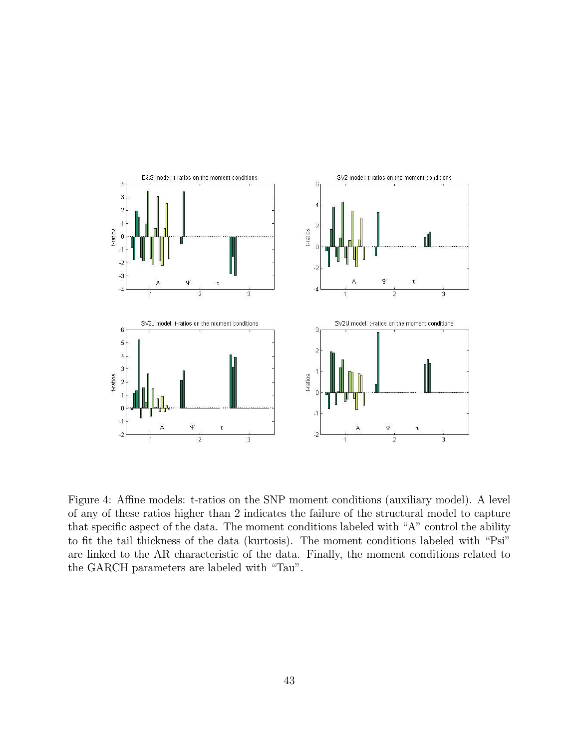

Figure 4: Affine models: t-ratios on the SNP moment conditions (auxiliary model). A level of any of these ratios higher than 2 indicates the failure of the structural model to capture that specific aspect of the data. The moment conditions labeled with "A" control the ability to fit the tail thickness of the data (kurtosis). The moment conditions labeled with "Psi" are linked to the AR characteristic of the data. Finally, the moment conditions related to the GARCH parameters are labeled with "Tau".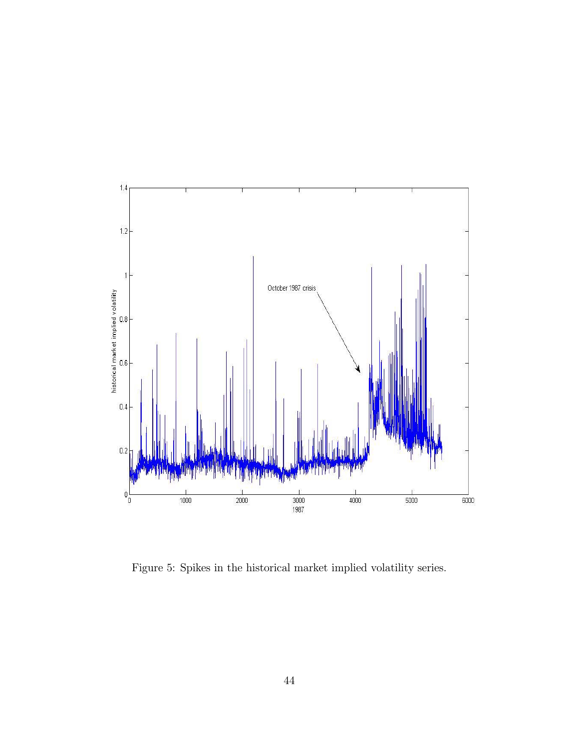

Figure 5: Spikes in the historical market implied volatility series.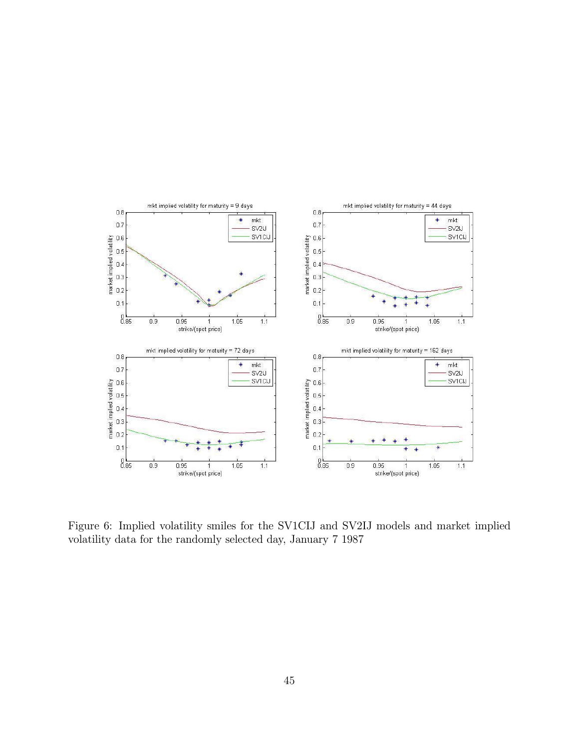

Figure 6: Implied volatility smiles for the SV1CIJ and SV2IJ models and market implied volatility data for the randomly selected day, January 7 1987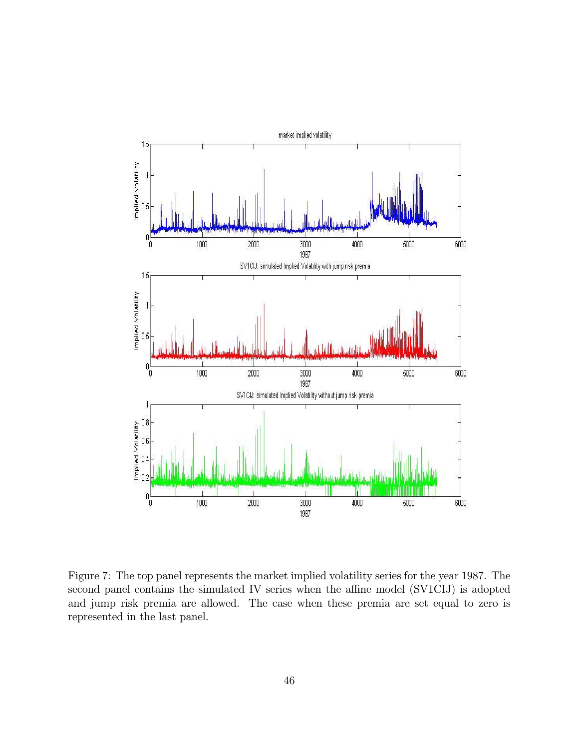

Figure 7: The top panel represents the market implied volatility series for the year 1987. The second panel contains the simulated IV series when the affine model (SV1CIJ) is adopted and jump risk premia are allowed. The case when these premia are set equal to zero is represented in the last panel.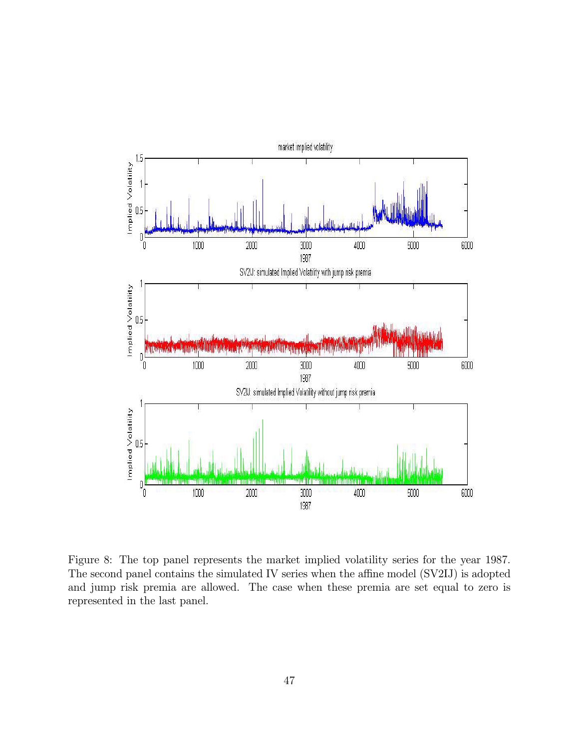

Figure 8: The top panel represents the market implied volatility series for the year 1987. The second panel contains the simulated IV series when the affine model (SV2IJ) is adopted and jump risk premia are allowed. The case when these premia are set equal to zero is represented in the last panel.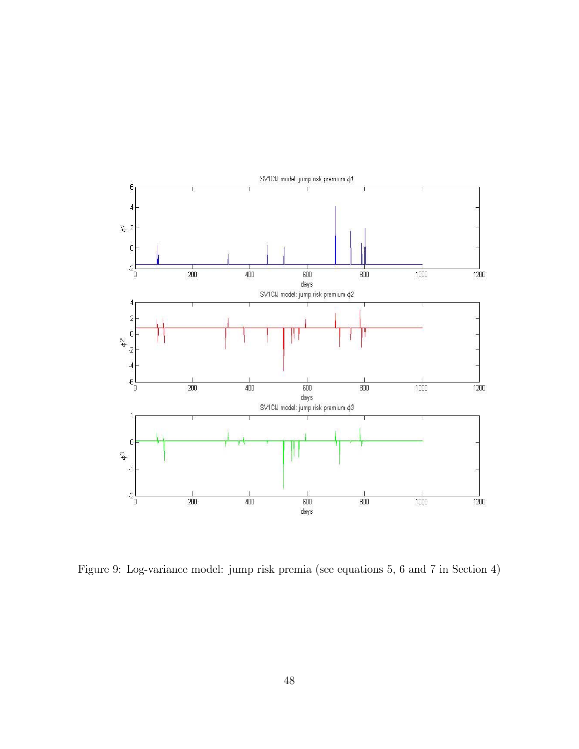

Figure 9: Log-variance model: jump risk premia (see equations 5, 6 and 7 in Section 4)